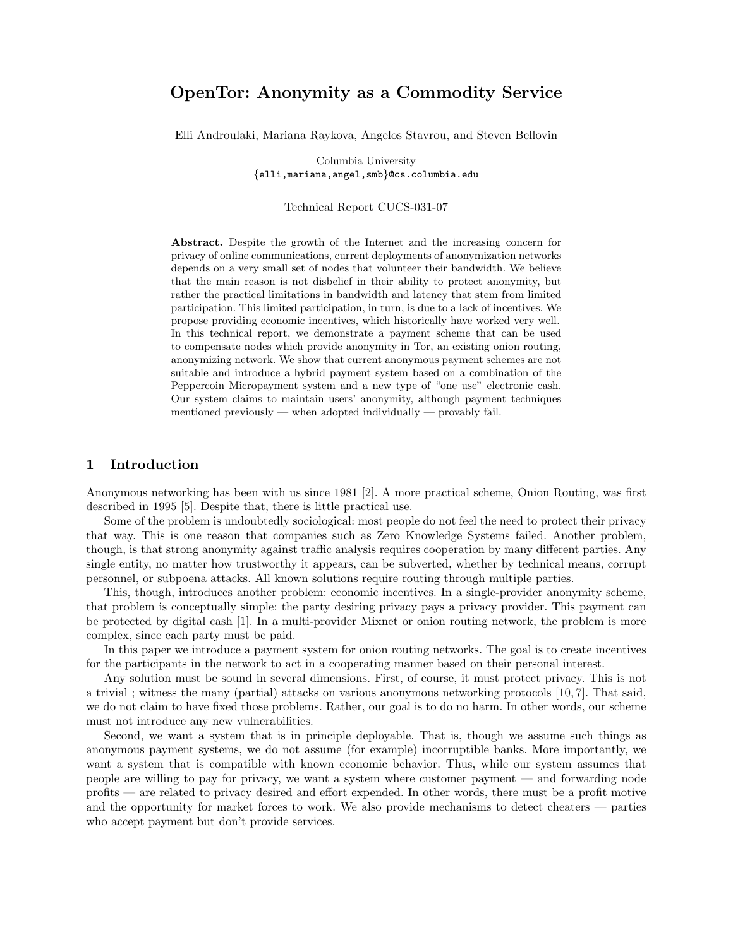# OpenTor: Anonymity as a Commodity Service

Elli Androulaki, Mariana Raykova, Angelos Stavrou, and Steven Bellovin

Columbia University {elli,mariana,angel,smb}@cs.columbia.edu

Technical Report CUCS-031-07

Abstract. Despite the growth of the Internet and the increasing concern for privacy of online communications, current deployments of anonymization networks depends on a very small set of nodes that volunteer their bandwidth. We believe that the main reason is not disbelief in their ability to protect anonymity, but rather the practical limitations in bandwidth and latency that stem from limited participation. This limited participation, in turn, is due to a lack of incentives. We propose providing economic incentives, which historically have worked very well. In this technical report, we demonstrate a payment scheme that can be used to compensate nodes which provide anonymity in Tor, an existing onion routing, anonymizing network. We show that current anonymous payment schemes are not suitable and introduce a hybrid payment system based on a combination of the Peppercoin Micropayment system and a new type of "one use" electronic cash. Our system claims to maintain users' anonymity, although payment techniques mentioned previously — when adopted individually — provably fail.

### 1 Introduction

Anonymous networking has been with us since 1981 [2]. A more practical scheme, Onion Routing, was first described in 1995 [5]. Despite that, there is little practical use.

Some of the problem is undoubtedly sociological: most people do not feel the need to protect their privacy that way. This is one reason that companies such as Zero Knowledge Systems failed. Another problem, though, is that strong anonymity against traffic analysis requires cooperation by many different parties. Any single entity, no matter how trustworthy it appears, can be subverted, whether by technical means, corrupt personnel, or subpoena attacks. All known solutions require routing through multiple parties.

This, though, introduces another problem: economic incentives. In a single-provider anonymity scheme, that problem is conceptually simple: the party desiring privacy pays a privacy provider. This payment can be protected by digital cash [1]. In a multi-provider Mixnet or onion routing network, the problem is more complex, since each party must be paid.

In this paper we introduce a payment system for onion routing networks. The goal is to create incentives for the participants in the network to act in a cooperating manner based on their personal interest.

Any solution must be sound in several dimensions. First, of course, it must protect privacy. This is not a trivial ; witness the many (partial) attacks on various anonymous networking protocols [10, 7]. That said, we do not claim to have fixed those problems. Rather, our goal is to do no harm. In other words, our scheme must not introduce any new vulnerabilities.

Second, we want a system that is in principle deployable. That is, though we assume such things as anonymous payment systems, we do not assume (for example) incorruptible banks. More importantly, we want a system that is compatible with known economic behavior. Thus, while our system assumes that people are willing to pay for privacy, we want a system where customer payment — and forwarding node profits — are related to privacy desired and effort expended. In other words, there must be a profit motive and the opportunity for market forces to work. We also provide mechanisms to detect cheaters — parties who accept payment but don't provide services.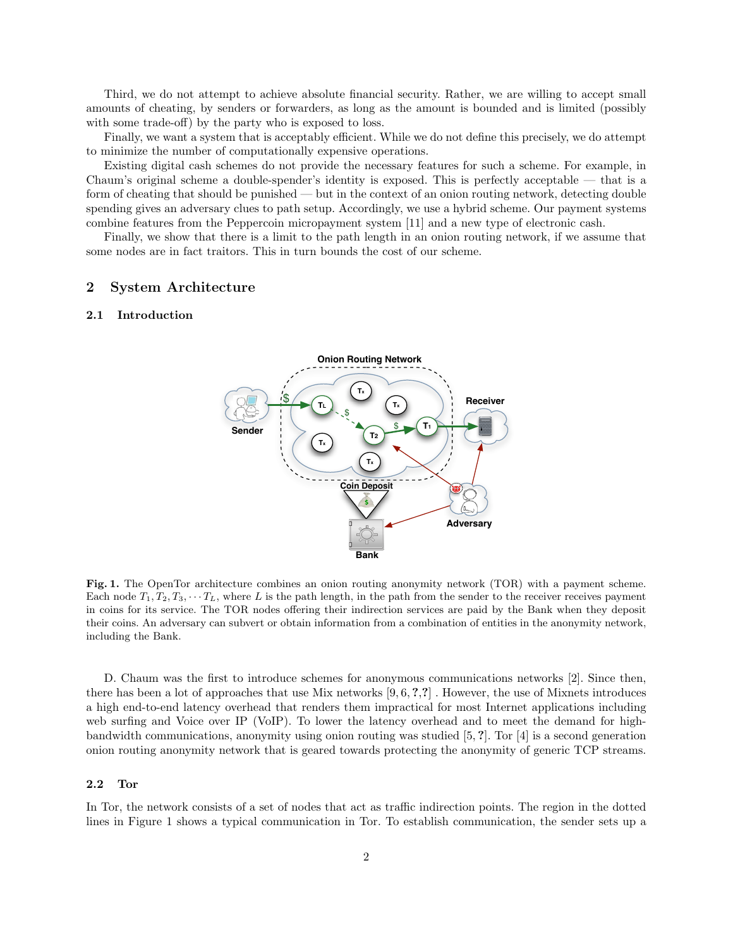Third, we do not attempt to achieve absolute financial security. Rather, we are willing to accept small amounts of cheating, by senders or forwarders, as long as the amount is bounded and is limited (possibly with some trade-off) by the party who is exposed to loss.

Finally, we want a system that is acceptably efficient. While we do not define this precisely, we do attempt to minimize the number of computationally expensive operations.

Existing digital cash schemes do not provide the necessary features for such a scheme. For example, in Chaum's original scheme a double-spender's identity is exposed. This is perfectly acceptable — that is a form of cheating that should be punished — but in the context of an onion routing network, detecting double spending gives an adversary clues to path setup. Accordingly, we use a hybrid scheme. Our payment systems combine features from the Peppercoin micropayment system [11] and a new type of electronic cash.

Finally, we show that there is a limit to the path length in an onion routing network, if we assume that some nodes are in fact traitors. This in turn bounds the cost of our scheme.

### 2 System Architecture

### 2.1 Introduction



Fig. 1. The OpenTor architecture combines an onion routing anonymity network (TOR) with a payment scheme. Each node  $T_1, T_2, T_3, \cdots T_L$ , where L is the path length, in the path from the sender to the receiver receives payment in coins for its service. The TOR nodes offering their indirection services are paid by the Bank when they deposit their coins. An adversary can subvert or obtain information from a combination of entities in the anonymity network, including the Bank.

D. Chaum was the first to introduce schemes for anonymous communications networks [2]. Since then, there has been a lot of approaches that use Mix networks [9, 6, ?,?] . However, the use of Mixnets introduces a high end-to-end latency overhead that renders them impractical for most Internet applications including web surfing and Voice over IP (VoIP). To lower the latency overhead and to meet the demand for highbandwidth communications, anonymity using onion routing was studied  $[5, ?]$ . Tor  $[4]$  is a second generation onion routing anonymity network that is geared towards protecting the anonymity of generic TCP streams.

#### 2.2 Tor

In Tor, the network consists of a set of nodes that act as traffic indirection points. The region in the dotted lines in Figure 1 shows a typical communication in Tor. To establish communication, the sender sets up a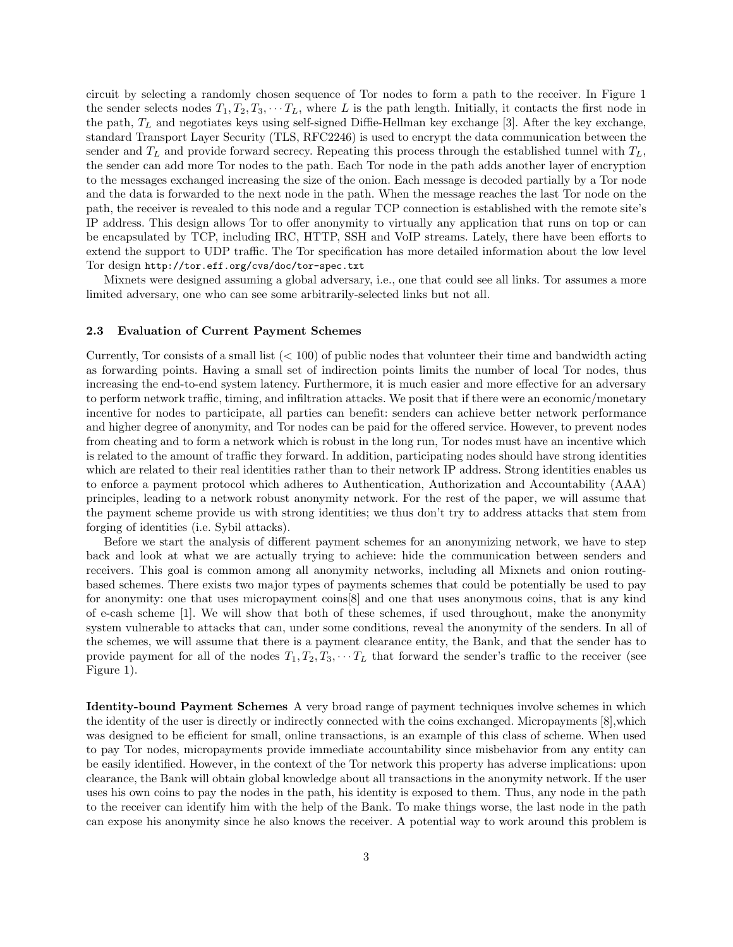circuit by selecting a randomly chosen sequence of Tor nodes to form a path to the receiver. In Figure 1 the sender selects nodes  $T_1, T_2, T_3, \cdots T_L$ , where L is the path length. Initially, it contacts the first node in the path,  $T_L$  and negotiates keys using self-signed Diffie-Hellman key exchange [3]. After the key exchange, standard Transport Layer Security (TLS, RFC2246) is used to encrypt the data communication between the sender and  $T_L$  and provide forward secrecy. Repeating this process through the established tunnel with  $T_L$ , the sender can add more Tor nodes to the path. Each Tor node in the path adds another layer of encryption to the messages exchanged increasing the size of the onion. Each message is decoded partially by a Tor node and the data is forwarded to the next node in the path. When the message reaches the last Tor node on the path, the receiver is revealed to this node and a regular TCP connection is established with the remote site's IP address. This design allows Tor to offer anonymity to virtually any application that runs on top or can be encapsulated by TCP, including IRC, HTTP, SSH and VoIP streams. Lately, there have been efforts to extend the support to UDP traffic. The Tor specification has more detailed information about the low level Tor design http://tor.eff.org/cvs/doc/tor-spec.txt

Mixnets were designed assuming a global adversary, i.e., one that could see all links. Tor assumes a more limited adversary, one who can see some arbitrarily-selected links but not all.

#### 2.3 Evaluation of Current Payment Schemes

Currently, Tor consists of a small list (< 100) of public nodes that volunteer their time and bandwidth acting as forwarding points. Having a small set of indirection points limits the number of local Tor nodes, thus increasing the end-to-end system latency. Furthermore, it is much easier and more effective for an adversary to perform network traffic, timing, and infiltration attacks. We posit that if there were an economic/monetary incentive for nodes to participate, all parties can benefit: senders can achieve better network performance and higher degree of anonymity, and Tor nodes can be paid for the offered service. However, to prevent nodes from cheating and to form a network which is robust in the long run, Tor nodes must have an incentive which is related to the amount of traffic they forward. In addition, participating nodes should have strong identities which are related to their real identities rather than to their network IP address. Strong identities enables us to enforce a payment protocol which adheres to Authentication, Authorization and Accountability (AAA) principles, leading to a network robust anonymity network. For the rest of the paper, we will assume that the payment scheme provide us with strong identities; we thus don't try to address attacks that stem from forging of identities (i.e. Sybil attacks).

Before we start the analysis of different payment schemes for an anonymizing network, we have to step back and look at what we are actually trying to achieve: hide the communication between senders and receivers. This goal is common among all anonymity networks, including all Mixnets and onion routingbased schemes. There exists two major types of payments schemes that could be potentially be used to pay for anonymity: one that uses micropayment coins[8] and one that uses anonymous coins, that is any kind of e-cash scheme [1]. We will show that both of these schemes, if used throughout, make the anonymity system vulnerable to attacks that can, under some conditions, reveal the anonymity of the senders. In all of the schemes, we will assume that there is a payment clearance entity, the Bank, and that the sender has to provide payment for all of the nodes  $T_1, T_2, T_3, \cdots T_L$  that forward the sender's traffic to the receiver (see Figure 1).

Identity-bound Payment Schemes A very broad range of payment techniques involve schemes in which the identity of the user is directly or indirectly connected with the coins exchanged. Micropayments [8],which was designed to be efficient for small, online transactions, is an example of this class of scheme. When used to pay Tor nodes, micropayments provide immediate accountability since misbehavior from any entity can be easily identified. However, in the context of the Tor network this property has adverse implications: upon clearance, the Bank will obtain global knowledge about all transactions in the anonymity network. If the user uses his own coins to pay the nodes in the path, his identity is exposed to them. Thus, any node in the path to the receiver can identify him with the help of the Bank. To make things worse, the last node in the path can expose his anonymity since he also knows the receiver. A potential way to work around this problem is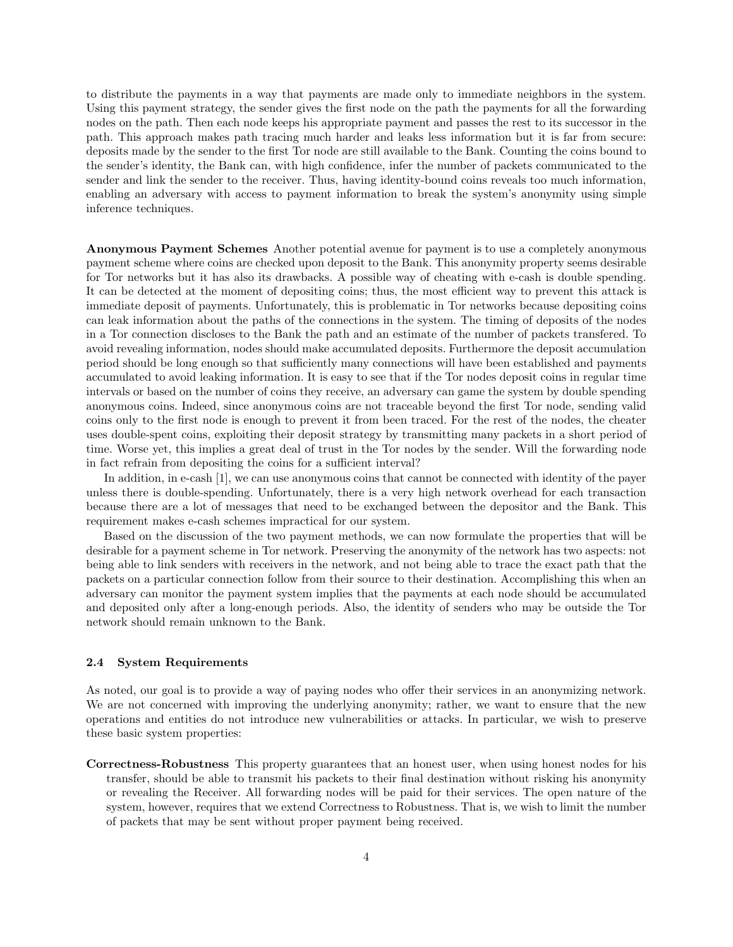to distribute the payments in a way that payments are made only to immediate neighbors in the system. Using this payment strategy, the sender gives the first node on the path the payments for all the forwarding nodes on the path. Then each node keeps his appropriate payment and passes the rest to its successor in the path. This approach makes path tracing much harder and leaks less information but it is far from secure: deposits made by the sender to the first Tor node are still available to the Bank. Counting the coins bound to the sender's identity, the Bank can, with high confidence, infer the number of packets communicated to the sender and link the sender to the receiver. Thus, having identity-bound coins reveals too much information, enabling an adversary with access to payment information to break the system's anonymity using simple inference techniques.

Anonymous Payment Schemes Another potential avenue for payment is to use a completely anonymous payment scheme where coins are checked upon deposit to the Bank. This anonymity property seems desirable for Tor networks but it has also its drawbacks. A possible way of cheating with e-cash is double spending. It can be detected at the moment of depositing coins; thus, the most efficient way to prevent this attack is immediate deposit of payments. Unfortunately, this is problematic in Tor networks because depositing coins can leak information about the paths of the connections in the system. The timing of deposits of the nodes in a Tor connection discloses to the Bank the path and an estimate of the number of packets transfered. To avoid revealing information, nodes should make accumulated deposits. Furthermore the deposit accumulation period should be long enough so that sufficiently many connections will have been established and payments accumulated to avoid leaking information. It is easy to see that if the Tor nodes deposit coins in regular time intervals or based on the number of coins they receive, an adversary can game the system by double spending anonymous coins. Indeed, since anonymous coins are not traceable beyond the first Tor node, sending valid coins only to the first node is enough to prevent it from been traced. For the rest of the nodes, the cheater uses double-spent coins, exploiting their deposit strategy by transmitting many packets in a short period of time. Worse yet, this implies a great deal of trust in the Tor nodes by the sender. Will the forwarding node in fact refrain from depositing the coins for a sufficient interval?

In addition, in e-cash [1], we can use anonymous coins that cannot be connected with identity of the payer unless there is double-spending. Unfortunately, there is a very high network overhead for each transaction because there are a lot of messages that need to be exchanged between the depositor and the Bank. This requirement makes e-cash schemes impractical for our system.

Based on the discussion of the two payment methods, we can now formulate the properties that will be desirable for a payment scheme in Tor network. Preserving the anonymity of the network has two aspects: not being able to link senders with receivers in the network, and not being able to trace the exact path that the packets on a particular connection follow from their source to their destination. Accomplishing this when an adversary can monitor the payment system implies that the payments at each node should be accumulated and deposited only after a long-enough periods. Also, the identity of senders who may be outside the Tor network should remain unknown to the Bank.

### 2.4 System Requirements

As noted, our goal is to provide a way of paying nodes who offer their services in an anonymizing network. We are not concerned with improving the underlying anonymity; rather, we want to ensure that the new operations and entities do not introduce new vulnerabilities or attacks. In particular, we wish to preserve these basic system properties:

Correctness-Robustness This property guarantees that an honest user, when using honest nodes for his transfer, should be able to transmit his packets to their final destination without risking his anonymity or revealing the Receiver. All forwarding nodes will be paid for their services. The open nature of the system, however, requires that we extend Correctness to Robustness. That is, we wish to limit the number of packets that may be sent without proper payment being received.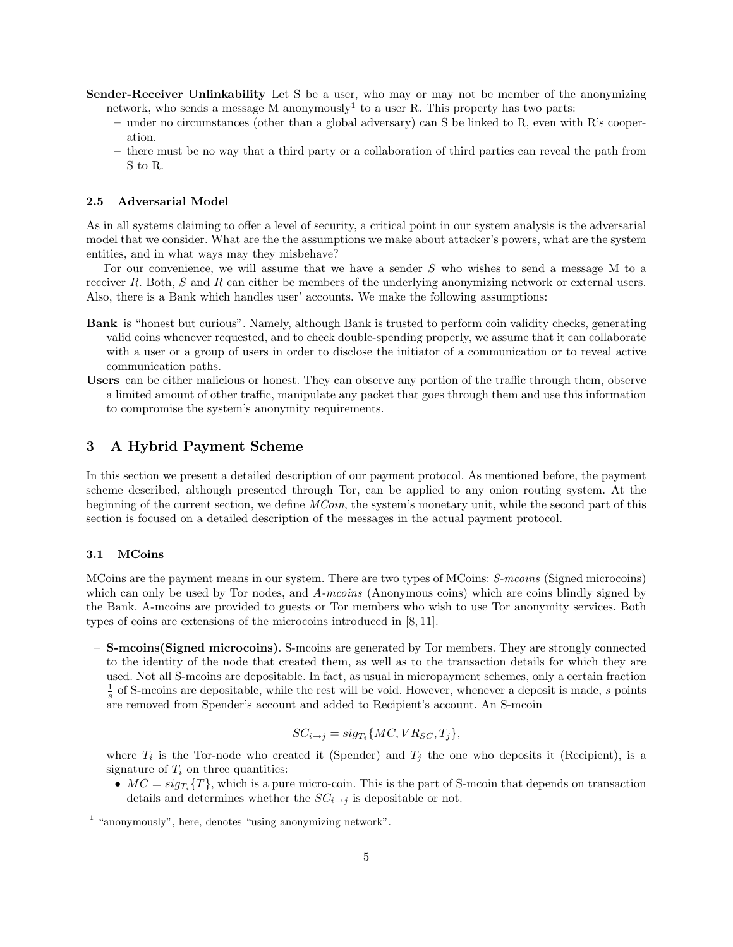- Sender-Receiver Unlinkability Let S be a user, who may or may not be member of the anonymizing network, who sends a message M anonymously<sup>1</sup> to a user R. This property has two parts:
	- $-$  under no circumstances (other than a global adversary) can S be linked to R, even with R's cooperation.
	- there must be no way that a third party or a collaboration of third parties can reveal the path from S to R.

#### 2.5 Adversarial Model

As in all systems claiming to offer a level of security, a critical point in our system analysis is the adversarial model that we consider. What are the the assumptions we make about attacker's powers, what are the system entities, and in what ways may they misbehave?

For our convenience, we will assume that we have a sender S who wishes to send a message M to a receiver R. Both, S and R can either be members of the underlying anonymizing network or external users. Also, there is a Bank which handles user' accounts. We make the following assumptions:

- Bank is "honest but curious". Namely, although Bank is trusted to perform coin validity checks, generating valid coins whenever requested, and to check double-spending properly, we assume that it can collaborate with a user or a group of users in order to disclose the initiator of a communication or to reveal active communication paths.
- Users can be either malicious or honest. They can observe any portion of the traffic through them, observe a limited amount of other traffic, manipulate any packet that goes through them and use this information to compromise the system's anonymity requirements.

## 3 A Hybrid Payment Scheme

In this section we present a detailed description of our payment protocol. As mentioned before, the payment scheme described, although presented through Tor, can be applied to any onion routing system. At the beginning of the current section, we define MCoin, the system's monetary unit, while the second part of this section is focused on a detailed description of the messages in the actual payment protocol.

#### 3.1 MCoins

MCoins are the payment means in our system. There are two types of MCoins: S-mcoins (Signed microcoins) which can only be used by Tor nodes, and A-mcoins (Anonymous coins) which are coins blindly signed by the Bank. A-mcoins are provided to guests or Tor members who wish to use Tor anonymity services. Both types of coins are extensions of the microcoins introduced in [8, 11].

– S-mcoins(Signed microcoins). S-mcoins are generated by Tor members. They are strongly connected to the identity of the node that created them, as well as to the transaction details for which they are used. Not all S-mcoins are depositable. In fact, as usual in micropayment schemes, only a certain fraction  $\frac{1}{s}$  of S-mcoins are depositable, while the rest will be void. However, whenever a deposit is made, s points are removed from Spender's account and added to Recipient's account. An S-mcoin

$$
SC_{i \to j} = sig_{T_i} \{MC, VR_{SC}, T_j\},\
$$

where  $T_i$  is the Tor-node who created it (Spender) and  $T_j$  the one who deposits it (Recipient), is a signature of  $T_i$  on three quantities:

•  $MC = sig_{T_i}\{T\}$ , which is a pure micro-coin. This is the part of S-mcoin that depends on transaction details and determines whether the  $SC_{i\rightarrow j}$  is depositable or not.

<sup>&</sup>lt;sup>1</sup> "anonymously", here, denotes "using anonymizing network".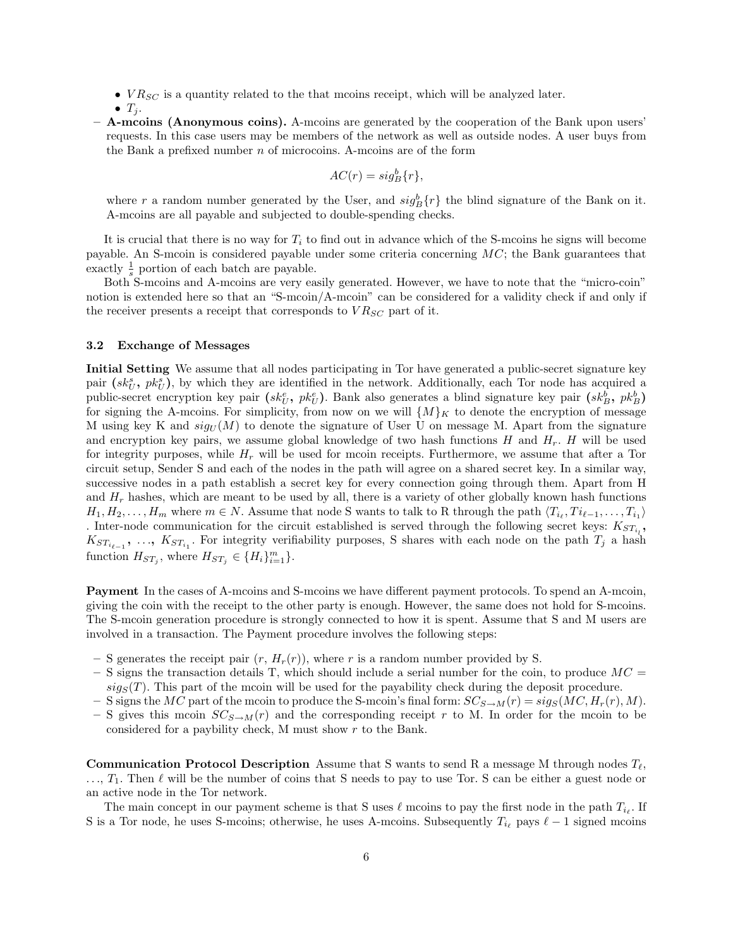•  $VR_{SC}$  is a quantity related to the that mcoins receipt, which will be analyzed later.

 $\bullet$   $T_j$ .

– A-mcoins (Anonymous coins). A-mcoins are generated by the cooperation of the Bank upon users' requests. In this case users may be members of the network as well as outside nodes. A user buys from the Bank a prefixed number  $n$  of microcoins. A-mcoins are of the form

$$
AC(r) = sig_B^b\{r\},\,
$$

where r a random number generated by the User, and  $sig^b_B\{r\}$  the blind signature of the Bank on it. A-mcoins are all payable and subjected to double-spending checks.

It is crucial that there is no way for  $T_i$  to find out in advance which of the S-mcoins he signs will become payable. An S-mcoin is considered payable under some criteria concerning MC; the Bank guarantees that exactly  $\frac{1}{s}$  portion of each batch are payable.

Both S-mcoins and A-mcoins are very easily generated. However, we have to note that the "micro-coin" notion is extended here so that an "S-mcoin/A-mcoin" can be considered for a validity check if and only if the receiver presents a receipt that corresponds to  $VR_{SC}$  part of it.

#### 3.2 Exchange of Messages

Initial Setting We assume that all nodes participating in Tor have generated a public-secret signature key pair  $(sk_U^s, pk_U^s$ ), by which they are identified in the network. Additionally, each Tor node has acquired a public-secret encryption key pair  $(s k_U^e, p k_U^e)$ . Bank also generates a blind signature key pair  $(s k_B^b, p k_B^b)$ for signing the A-mcoins. For simplicity, from now on we will  $\{M\}_K$  to denote the encryption of message M using key K and  $sig_U(M)$  to denote the signature of User U on message M. Apart from the signature and encryption key pairs, we assume global knowledge of two hash functions  $H$  and  $H_r$ . H will be used for integrity purposes, while  $H_r$  will be used for mcoin receipts. Furthermore, we assume that after a Tor circuit setup, Sender S and each of the nodes in the path will agree on a shared secret key. In a similar way, successive nodes in a path establish a secret key for every connection going through them. Apart from H and  $H_r$  hashes, which are meant to be used by all, there is a variety of other globally known hash functions  $H_1, H_2, \ldots, H_m$  where  $m \in N$ . Assume that node S wants to talk to R through the path  $\langle T_{i_\ell}, T_{i_{\ell-1}}, \ldots, T_{i_1} \rangle$ . Inter-node communication for the circuit established is served through the following secret keys:  $K_{ST_{i_l}}$ ,  $K_{ST_{i_{\ell-1}}}, \ldots, K_{ST_{i_1}}$ . For integrity verifiability purposes, S shares with each node on the path  $T_j$  a hash function  $H_{ST_j}$ , where  $H_{ST_j} \in \{H_i\}_{i=1}^m$ .

Payment In the cases of A-mcoins and S-mcoins we have different payment protocols. To spend an A-mcoin, giving the coin with the receipt to the other party is enough. However, the same does not hold for S-mcoins. The S-mcoin generation procedure is strongly connected to how it is spent. Assume that S and M users are involved in a transaction. The Payment procedure involves the following steps:

- S generates the receipt pair  $(r, H_r(r))$ , where r is a random number provided by S.
- S signs the transaction details T, which should include a serial number for the coin, to produce  $MC =$  $sig_S(T)$ . This part of the mcoin will be used for the payability check during the deposit procedure.
- S signs the MC part of the mcoin to produce the S-mcoin's final form:  $SC_{S\rightarrow M}(r) = sig_S(MC, H_r(r), M)$ .
- S gives this mcoin  $SC_{S\rightarrow M}(r)$  and the corresponding receipt r to M. In order for the mcoin to be considered for a paybility check, M must show r to the Bank.

**Communication Protocol Description** Assume that S wants to send R a message M through nodes  $T_\ell$ ,  $\ldots$ ,  $T_1$ . Then  $\ell$  will be the number of coins that S needs to pay to use Tor. S can be either a guest node or an active node in the Tor network.

The main concept in our payment scheme is that S uses  $\ell$  mcoins to pay the first node in the path  $T_{i_\ell}$ . If S is a Tor node, he uses S-mcoins; otherwise, he uses A-mcoins. Subsequently  $T_{i_\ell}$  pays  $\ell - 1$  signed mcoins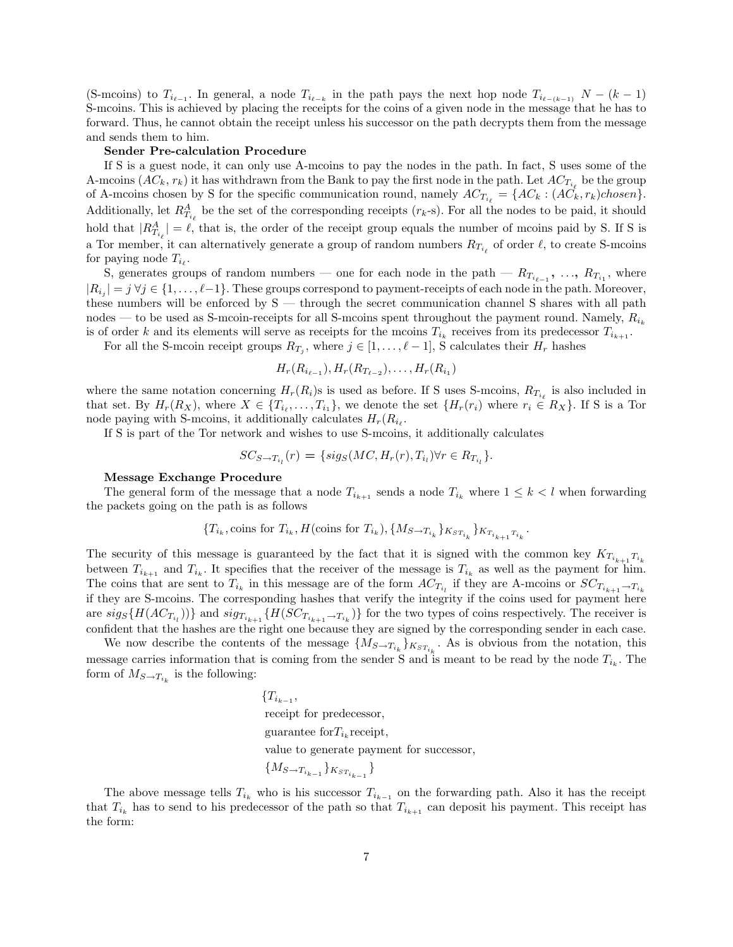(S-mcoins) to  $T_{i_{\ell-1}}$ . In general, a node  $T_{i_{\ell-k}}$  in the path pays the next hop node  $T_{i_{\ell-(k-1)}}$   $N - (k-1)$ S-mcoins. This is achieved by placing the receipts for the coins of a given node in the message that he has to forward. Thus, he cannot obtain the receipt unless his successor on the path decrypts them from the message and sends them to him.

### Sender Pre-calculation Procedure

If S is a guest node, it can only use A-mcoins to pay the nodes in the path. In fact, S uses some of the A-mcoins  $(AC_k, r_k)$  it has withdrawn from the Bank to pay the first node in the path. Let  $AC_{T_{i_\ell}}$  be the group of A-mcoins chosen by S for the specific communication round, namely  $AC_{T_{i_\ell}} = \{AC_k : (AC_k, r_k) \text{chosen}\}.$ Additionally, let  $R_{T_{i_\ell}}^A$  be the set of the corresponding receipts  $(r_k-s)$ . For all the nodes to be paid, it should hold that  $|R_{T_{i_\ell}}^A| = \ell$ , that is, the order of the receipt group equals the number of mcoins paid by S. If S is a Tor member, it can alternatively generate a group of random numbers  $R_{T_{i_\ell}}$  of order  $\ell$ , to create S-mcoins for paying node  $T_{i_\ell}$ .

S, generates groups of random numbers — one for each node in the path —  $R_{T_{i_{\ell-1}}}, \ldots, R_{T_{i_1}}$ , where  $|R_{i_j}| = j \,\forall j \in \{1,\ldots,\ell-1\}$ . These groups correspond to payment-receipts of each node in the path. Moreover, these numbers will be enforced by S — through the secret communication channel S shares with all path nodes — to be used as S-mcoin-receipts for all S-mcoins spent throughout the payment round. Namely,  $R_{i_k}$ is of order k and its elements will serve as receipts for the mcoins  $T_{i_k}$  receives from its predecessor  $T_{i_{k+1}}$ .

For all the S-mcoin receipt groups  $R_{T_j}$ , where  $j \in [1, \ldots, \ell-1]$ , S calculates their  $H_r$  hashes

$$
H_r(R_{i_{\ell-1}}), H_r(R_{T_{\ell-2}}), \ldots, H_r(R_{i_1})
$$

where the same notation concerning  $H_r(R_i)$ s is used as before. If S uses S-mcoins,  $R_{T_{i_\ell}}$  is also included in that set. By  $H_r(R_X)$ , where  $X \in \{T_{i_\ell}, \ldots, T_{i_1}\}$ , we denote the set  $\{H_r(r_i)$  where  $r_i \in R_X\}$ . If S is a Tor node paying with S-mcoins, it additionally calculates  $H_r(R_{i_\ell})$ .

If S is part of the Tor network and wishes to use S-mcoins, it additionally calculates

$$
SC_{S \to T_{i_l}}(r) = \{sig_S(MC, H_r(r), T_{i_l}) \forall r \in R_{T_{i_l}}\}.
$$

#### Message Exchange Procedure

The general form of the message that a node  $T_{i_{k+1}}$  sends a node  $T_{i_k}$  where  $1 \leq k \leq l$  when forwarding the packets going on the path is as follows

$$
\{T_{i_k}, \text{coints for } T_{i_k}, H(\text{coints for } T_{i_k}), \{M_{S \to T_{i_k}}\}_{K_{ST_{i_k}}}\}_{K_{T_{i_{k+1}}T_{i_k}}}.
$$

The security of this message is guaranteed by the fact that it is signed with the common key  $K_{T_{i_{k+1}} T_{i_k}}$ between  $T_{i_{k+1}}$  and  $T_{i_k}$ . It specifies that the receiver of the message is  $T_{i_k}$  as well as the payment for him. The coins that are sent to  $T_{i_k}$  in this message are of the form  $AC_{T_{i_l}}$  if they are A-mcoins or  $SC_{T_{i_{k+1}} \to T_{i_k}}$ if they are S-mcoins. The corresponding hashes that verify the integrity if the coins used for payment here are  $sig_S\{H(AC_{T_{i_l}})\}\$  and  $sig_{T_{i_{k+1}}} \{H(SC_{T_{i_{k+1}} \to T_{i_k}})\}\$  for the two types of coins respectively. The receiver is confident that the hashes are the right one because they are signed by the corresponding sender in each case.

We now describe the contents of the message  $\{M_{S\rightarrow T_{i_k}}\}_{K_{ST_{i_k}}}$ . As is obvious from the notation, this message carries information that is coming from the sender S and is meant to be read by the node  $T_{i_k}$ . The form of  $M_{S \to T_{i_k}}$  is the following:

> ${T_{i_{k-1}}},$ receipt for predecessor, guarantee for $T_{i_k}$ receipt, value to generate payment for successor,  $\{M_{S \to T_{i_{k-1}}}\}_{K_{ST_{i_{k-1}}}}\}$

The above message tells  $T_{i_k}$  who is his successor  $T_{i_{k-1}}$  on the forwarding path. Also it has the receipt that  $T_{i_k}$  has to send to his predecessor of the path so that  $T_{i_{k+1}}$  can deposit his payment. This receipt has the form: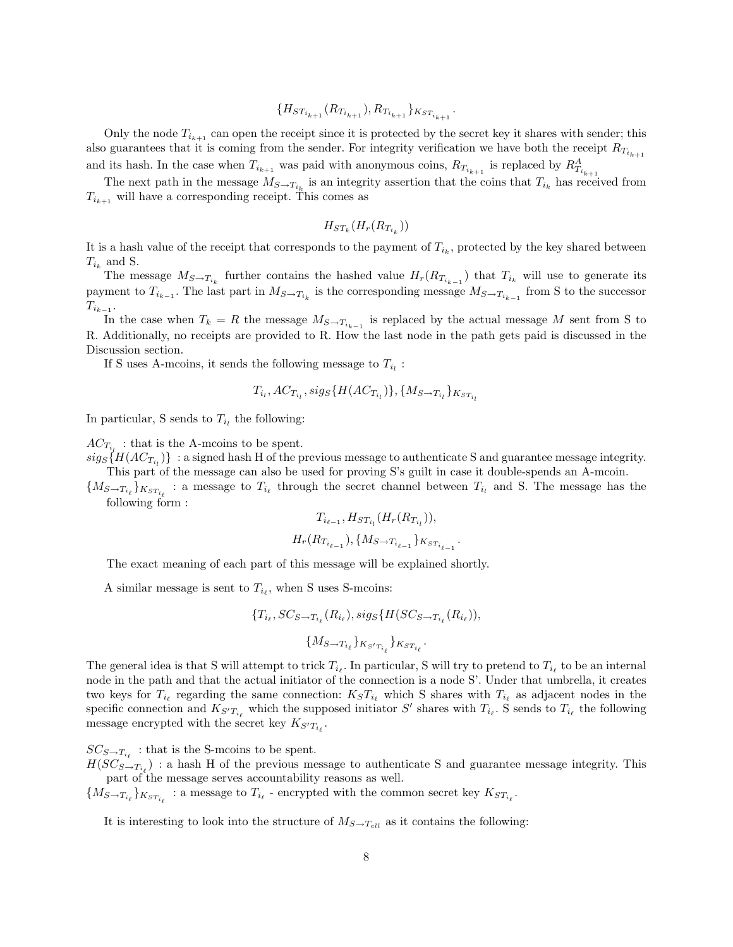$$
\{H_{ST_{i_{k+1}}}(R_{T_{i_{k+1}}}), R_{T_{i_{k+1}}}\}_{K_{ST_{i_{k+1}}}}.
$$

Only the node  $T_{i_{k+1}}$  can open the receipt since it is protected by the secret key it shares with sender; this also guarantees that it is coming from the sender. For integrity verification we have both the receipt  $R_{T_{i_{k+1}}}$ and its hash. In the case when  $T_{i_{k+1}}$  was paid with anonymous coins,  $R_{T_{i_{k+1}}}$  is replaced by  $R_{T_{i_{k+1}}}^A$ 

The next path in the message  $M_{S\to T_{i_k}}$  is an integrity assertion that the coins that  $T_{i_k}$  has received from  $T_{i_{k+1}}$  will have a corresponding receipt. This comes as

$$
H_{ST_k}(H_r(R_{T_{i_k}}))
$$

It is a hash value of the receipt that corresponds to the payment of  $T_{i_k}$ , protected by the key shared between  $T_{i_k}$  and S.

The message  $M_{S\to T_{i_k}}$  further contains the hashed value  $H_r(R_{T_{i_{k-1}}})$  that  $T_{i_k}$  will use to generate its payment to  $T_{i_{k-1}}$ . The last part in  $M_{S\to T_{i_k}}$  is the corresponding message  $M_{S\to T_{i_{k-1}}}$  from S to the successor  $T_{i_{k-1}}$ .

In the case when  $T_k = R$  the message  $M_{S \to T_{i_{k-1}}}$  is replaced by the actual message M sent from S to R. Additionally, no receipts are provided to R. How the last node in the path gets paid is discussed in the Discussion section.

If S uses A-mcoins, it sends the following message to  $T_{i_l}$ :

$$
T_{i_l}
$$
,  $AC_{T_{i_l}}$ ,  $sig_S\{H(AC_{T_{i_l}})\}$ ,  $\{M_{S \to T_{i_l}}\}_{K_{ST_{i_l}}}$ 

In particular, S sends to  $T_{i_l}$  the following:

 $AC_{T_{i_j}}$ : that is the A-mcoins to be spent.

 $sig_S\{H(AC_{T_{i_l}})\}$ : a signed hash H of the previous message to authenticate S and guarantee message integrity. This part of the message can also be used for proving S's guilt in case it double-spends an A-mcoin.

 ${M_{S \to T_{i_\ell}}}_{K_{ST_{i_\ell}}}$ : a message to  $T_{i_\ell}$  through the secret channel between  $T_{i_l}$  and S. The message has the following form :

$$
T_{i_{\ell-1}}, H_{ST_{i_l}}(H_r(R_{T_{i_l}})),
$$
  

$$
H_r(R_{T_{i_{\ell-1}}}), \{M_{S \to T_{i_{\ell-1}}}\}_{K_{ST_{i_{\ell-1}}}}.
$$

The exact meaning of each part of this message will be explained shortly.

A similar message is sent to  $T_{i_\ell}$ , when S uses S-mcoins:

$$
\{T_{i_{\ell}}, SC_{S \to T_{i_{\ell}}}(R_{i_{\ell}}), sig_{S} \{H(SC_{S \to T_{i_{\ell}}}(R_{i_{\ell}})),\newline \{M_{S \to T_{i_{\ell}}}\}_{K_{S'T_{i_{\ell}}}} \}_{K_{S T_{i_{\ell}}}}.
$$

The general idea is that S will attempt to trick  $T_{i_\ell}$ . In particular, S will try to pretend to  $T_{i_\ell}$  to be an internal node in the path and that the actual initiator of the connection is a node S'. Under that umbrella, it creates two keys for  $T_{i_\ell}$  regarding the same connection:  $K_S T_{i_\ell}$  which S shares with  $T_{i_\ell}$  as adjacent nodes in the specific connection and  $K_{S'T_{i_\ell}}$  which the supposed initiator S' shares with  $T_{i_\ell}$ . S sends to  $T_{i_\ell}$  the following message encrypted with the secret key  $K_{S^{\prime}T_{i_{\ell}}} .$ 

 $SC_{S\rightarrow T_{i_\ell}}$ : that is the S-mcoins to be spent.

 $H(SC_{S\rightarrow T_{i_{\ell}}})$ : a hash H of the previous message to authenticate S and guarantee message integrity. This part of the message serves accountability reasons as well.

 ${M_{S \to T_{i_\ell}}}_{K_{ST_{i_\ell}}}$ : a message to  $T_{i_\ell}$  - encrypted with the common secret key  $K_{ST_{i_\ell}}$ .

It is interesting to look into the structure of  $M_{S\rightarrow T_{ell}}$  as it contains the following: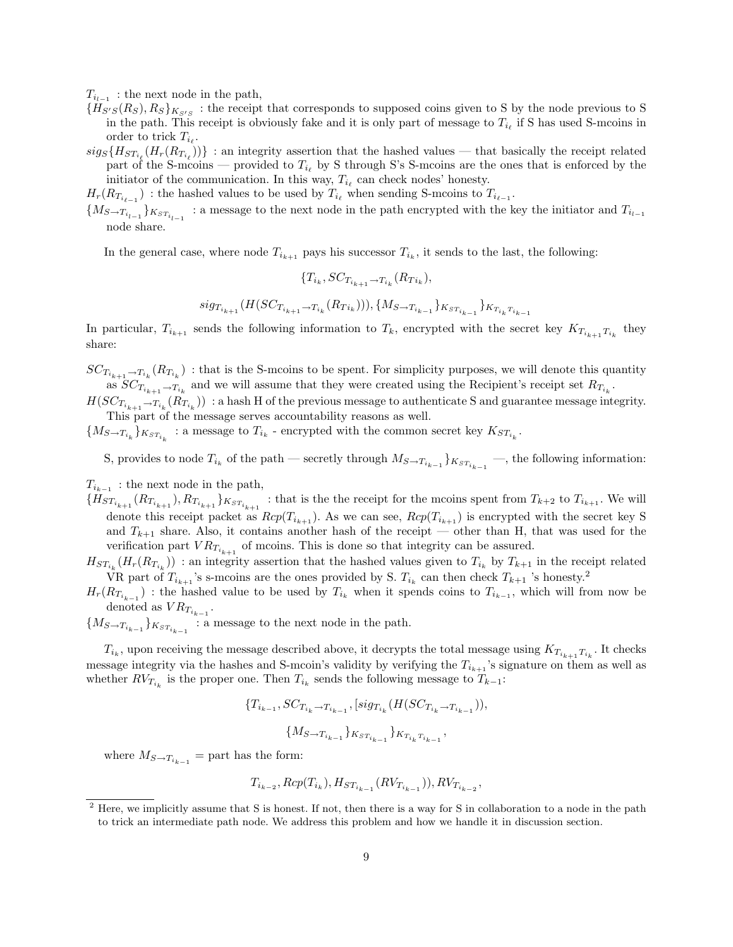$T_{i_{l-1}}$ : the next node in the path,

- ${H_{S'S}(R_S), R_S}_{K_{S'S}}$ : the receipt that corresponds to supposed coins given to S by the node previous to S in the path. This receipt is obviously fake and it is only part of message to  $T_{i_\ell}$  if S has used S-mcoins in order to trick  $T_{i_{\ell}}$ .
- $sig_S\{H_{ST_{i_\ell}}(H_r(R_{T_{i_\ell}}))\}$  : an integrity assertion that the hashed values that basically the receipt related part of the S-mcoins — provided to  $T_i$ , by S through S's S-mcoins are the ones that is enforced by the initiator of the communication. In this way,  $T_{i_\ell}$  can check nodes' honesty.

 $H_r(R_{T_{i_{\ell-1}}})$ : the hashed values to be used by  $T_{i_\ell}$  when sending S-mcoins to  $T_{i_{\ell-1}}$ .

 ${M_{S\to T_{i_{l-1}}}}_{K_{ST_{i_{l-1}}}}$ : a message to the next node in the path encrypted with the key the initiator and  $T_{i_{l-1}}$ node share.

In the general case, where node  $T_{i_{k+1}}$  pays his successor  $T_{i_k}$ , it sends to the last, the following:

$$
\{T_{i_k}, SC_{T_{i_{k+1}} \rightarrow T_{i_k}}(R_{Ti_k}),
$$
  

$$
sig_{T_{i_{k+1}}}(H(SC_{T_{i_{k+1}} \rightarrow T_{i_k}}(R_{Ti_k}))), \{M_{S \rightarrow T_{i_{k-1}}}\}_{K_{ST_{i_{k-1}}}}\}_{K_{T_{i_k}T_{i_{k-1}}}}
$$

In particular,  $T_{i_{k+1}}$  sends the following information to  $T_k$ , encrypted with the secret key  $K_{T_{i_{k+1}} T_{i_k}}$  they share:

 $SC_{T_{i_{k+1}} \to T_{i_k}}(R_{T_{i_k}})$ : that is the S-mcoins to be spent. For simplicity purposes, we will denote this quantity as  $SC_{T_{i_{k+1}} \to T_{i_k}}$  and we will assume that they were created using the Recipient's receipt set  $R_{T_{i_k}}$ .

 $H(SC_{T_{i_{k+1}} \to T_{i_k}}(R_{T_{i_k}}))$ : a hash H of the previous message to authenticate S and guarantee message integrity. This part of the message serves accountability reasons as well.

 $\{M_{S \rightarrow T_{i_k}}\}_{K_{ST_{i_k}}}$  : a message to  $T_{i_k}$  - encrypted with the common secret key  $K_{ST_{i_k}}.$ 

S, provides to node  $T_{i_k}$  of the path — secretly through  $M_{S\to T_{i_{k-1}}}$  } $_{K_{ST_{i_{k-1}}}}$  —, the following information:

 $T_{i_{k-1}}$ : the next node in the path,

 $\{H_{ST_{i_{k+1}}}(R_{T_{i_{k+1}}}), R_{T_{i_{k+1}}}\}$   $K_{ST_{i_{k+1}}}$ : that is the the receipt for the mcoins spent from  $T_{k+2}$  to  $T_{i_{k+1}}$ . We will denote this receipt packet as  $Rep(T_{i_{k+1}})$ . As we can see,  $Rep(T_{i_{k+1}})$  is encrypted with the secret key S and  $T_{k+1}$  share. Also, it contains another hash of the receipt — other than H, that was used for the verification part  $VR_{T_{i_{k+1}}}$  of mcoins. This is done so that integrity can be assured.

 $H_{ST_{i_k}}(H_r(R_{T_{i_k}}))$ : an integrity assertion that the hashed values given to  $T_{i_k}$  by  $T_{k+1}$  in the receipt related VR part of  $T_{i_{k+1}}$ 's s-mcoins are the ones provided by S.  $T_{i_k}$  can then check  $T_{k+1}$  's honesty.<sup>2</sup>

- $H_r(R_{T_{i_{k-1}}})$ : the hashed value to be used by  $T_{i_k}$  when it spends coins to  $T_{i_{k-1}}$ , which will from now be denoted as  $VR_{T_{i_{k-1}}}$ .
- ${M_{S \to T_{i_{k-1}}}}_{KST_{i_{k-1}}}$ : a message to the next node in the path.

 $T_{i_k}$ , upon receiving the message described above, it decrypts the total message using  $K_{T_{i_{k+1}}T_{i_k}}$ . It checks message integrity via the hashes and S-mcoin's validity by verifying the  $T_{i_{k+1}}$ 's signature on them as well as whether  $RV_{T_{i_k}}$  is the proper one. Then  $T_{i_k}$  sends the following message to  $T_{k-1}$ :

$$
\{T_{i_{k-1}}, SC_{T_{i_k}} \to T_{i_{k-1}}, [sig_{T_{i_k}}(H(SC_{T_{i_k}} \to T_{i_{k-1}})),
$$
  

$$
\{M_{S \to T_{i_{k-1}}}\}_{K_{ST_{i_{k-1}}}}\}_{K_{T_{i_k}}T_{i_{k-1}}},
$$

where  $M_{S\rightarrow T_{i_{k-1}}}$  = part has the form:

$$
T_{i_{k-2}}, Rep(T_{i_k}), H_{ST_{i_{k-1}}}(RV_{T_{i_{k-1}}})), RV_{T_{i_{k-2}}},
$$

Here, we implicitly assume that S is honest. If not, then there is a way for S in collaboration to a node in the path to trick an intermediate path node. We address this problem and how we handle it in discussion section.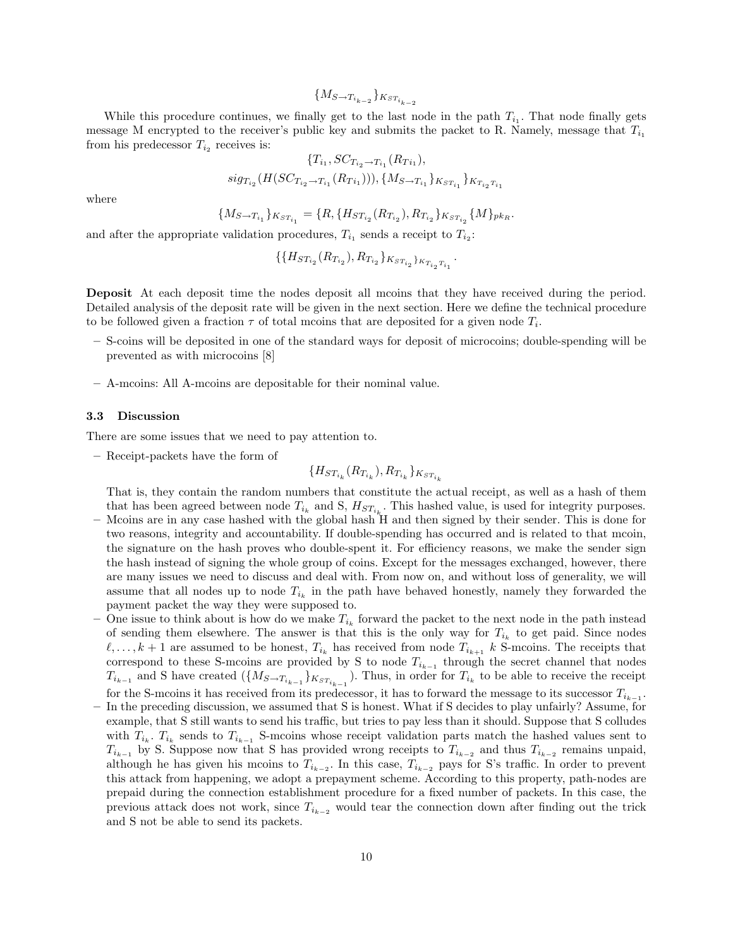$$
\{M_{S \rightarrow T_{i_{k-2}}}\}_{K_{ST_{i_{k-2}}}}
$$

While this procedure continues, we finally get to the last node in the path  $T_{i_1}$ . That node finally gets message M encrypted to the receiver's public key and submits the packet to R. Namely, message that  $T_{i_1}$ from his predecessor  $T_{i_2}$  receives is:

$$
\begin{aligned} \{T_{i_1},SC_{T_{i_2}\rightarrow T_{i_1}}(R_{Ti_1}),\\sig_{T_{i_2}}(H(SC_{T_{i_2}\rightarrow T_{i_1}}(R_{Ti_1}))), \{M_{S\rightarrow T_{i_1}}\}_{K_{S T_{i_1}}} \}K_{T_{i_2}T_{i_1}} \end{aligned}
$$

where

$$
\{M_{S \rightarrow T_{i_1}}\}_{K_{ST_{i_1}}} = \{R, \{H_{ST_{i_2}}(R_{T_{i_2}}), R_{T_{i_2}}\}_{K_{ST_{i_2}}} \{M\}_{pk_R}.
$$

and after the appropriate validation procedures,  $T_{i_1}$  sends a receipt to  $T_{i_2}$ :

$$
\{\{H_{ST_{i_2}}(R_{T_{i_2}}), R_{T_{i_2}}\}_{K_{ST_{i_2}}\}_{K_{T_{i_2}}T_{i_1}}.
$$

Deposit At each deposit time the nodes deposit all mcoins that they have received during the period. Detailed analysis of the deposit rate will be given in the next section. Here we define the technical procedure to be followed given a fraction  $\tau$  of total mcoins that are deposited for a given node  $T_i$ .

- S-coins will be deposited in one of the standard ways for deposit of microcoins; double-spending will be prevented as with microcoins [8]
- A-mcoins: All A-mcoins are depositable for their nominal value.

#### 3.3 Discussion

There are some issues that we need to pay attention to.

– Receipt-packets have the form of

$$
\{H_{ST_{i_k}}(R_{T_{i_k}}), R_{T_{i_k}}\}_{K_{ST_{i_k}}}
$$

That is, they contain the random numbers that constitute the actual receipt, as well as a hash of them that has been agreed between node  $T_{i_k}$  and S,  $H_{ST_{i_k}}$ . This hashed value, is used for integrity purposes.

- Mcoins are in any case hashed with the global hash H and then signed by their sender. This is done for two reasons, integrity and accountability. If double-spending has occurred and is related to that mcoin, the signature on the hash proves who double-spent it. For efficiency reasons, we make the sender sign the hash instead of signing the whole group of coins. Except for the messages exchanged, however, there are many issues we need to discuss and deal with. From now on, and without loss of generality, we will assume that all nodes up to node  $T_{i_k}$  in the path have behaved honestly, namely they forwarded the payment packet the way they were supposed to.
- $-$  One issue to think about is how do we make  $T_{i_k}$  forward the packet to the next node in the path instead of sending them elsewhere. The answer is that this is the only way for  $T_{i_k}$  to get paid. Since nodes  $\ell, \ldots, k + 1$  are assumed to be honest,  $T_{i_k}$  has received from node  $T_{i_{k+1}}$  k S-mcoins. The receipts that correspond to these S-mcoins are provided by S to node  $T_{i_{k-1}}$  through the secret channel that nodes  $T_{i_{k-1}}$  and S have created  $(\{M_{S\to T_{i_{k-1}}}\}_{K_{ST_{i_{k-1}}}})$ . Thus, in order for  $T_{i_k}$  to be able to receive the receipt for the S-mcoins it has received from its predecessor, it has to forward the message to its successor  $T_{i_{k-1}}$ .
- In the preceding discussion, we assumed that S is honest. What if S decides to play unfairly? Assume, for example, that S still wants to send his traffic, but tries to pay less than it should. Suppose that S colludes with  $T_{i_k}$ .  $T_{i_k}$  sends to  $T_{i_{k-1}}$  S-mcoins whose receipt validation parts match the hashed values sent to  $T_{i_{k-1}}$  by S. Suppose now that S has provided wrong receipts to  $T_{i_{k-2}}$  and thus  $T_{i_{k-2}}$  remains unpaid, although he has given his mcoins to  $T_{i_{k-2}}$ . In this case,  $T_{i_{k-2}}$  pays for S's traffic. In order to prevent this attack from happening, we adopt a prepayment scheme. According to this property, path-nodes are prepaid during the connection establishment procedure for a fixed number of packets. In this case, the previous attack does not work, since  $T_{i_{k-2}}$  would tear the connection down after finding out the trick and S not be able to send its packets.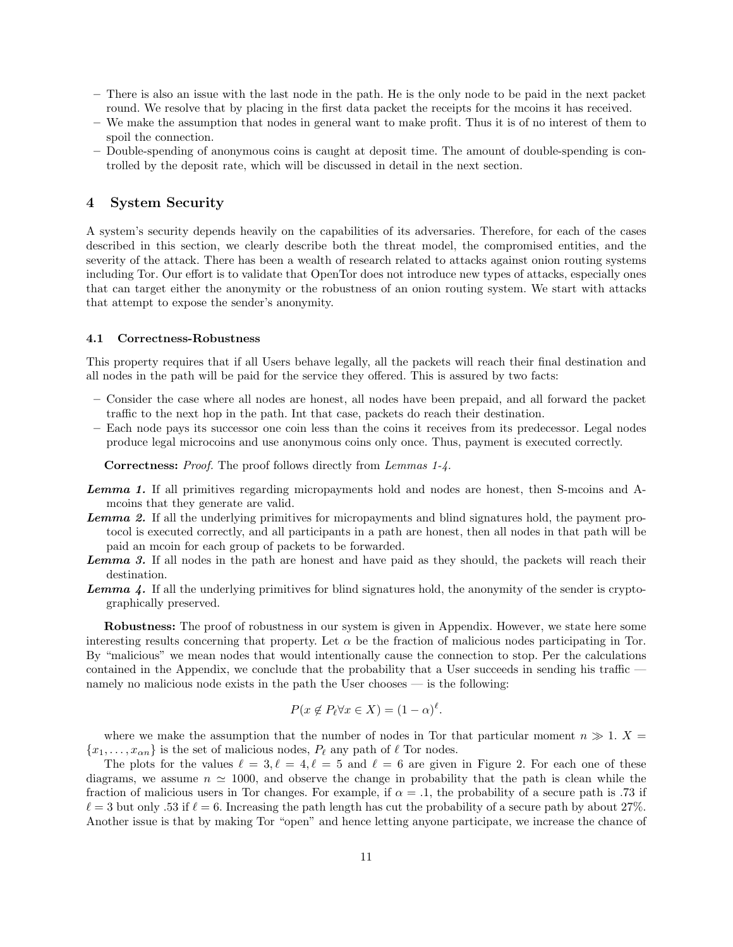- There is also an issue with the last node in the path. He is the only node to be paid in the next packet round. We resolve that by placing in the first data packet the receipts for the mcoins it has received.
- We make the assumption that nodes in general want to make profit. Thus it is of no interest of them to spoil the connection.
- Double-spending of anonymous coins is caught at deposit time. The amount of double-spending is controlled by the deposit rate, which will be discussed in detail in the next section.

### 4 System Security

A system's security depends heavily on the capabilities of its adversaries. Therefore, for each of the cases described in this section, we clearly describe both the threat model, the compromised entities, and the severity of the attack. There has been a wealth of research related to attacks against onion routing systems including Tor. Our effort is to validate that OpenTor does not introduce new types of attacks, especially ones that can target either the anonymity or the robustness of an onion routing system. We start with attacks that attempt to expose the sender's anonymity.

#### 4.1 Correctness-Robustness

This property requires that if all Users behave legally, all the packets will reach their final destination and all nodes in the path will be paid for the service they offered. This is assured by two facts:

- Consider the case where all nodes are honest, all nodes have been prepaid, and all forward the packet traffic to the next hop in the path. Int that case, packets do reach their destination.
- Each node pays its successor one coin less than the coins it receives from its predecessor. Legal nodes produce legal microcoins and use anonymous coins only once. Thus, payment is executed correctly.

Correctness: Proof. The proof follows directly from Lemmas 1-4.

- Lemma 1. If all primitives regarding micropayments hold and nodes are honest, then S-mcoins and Amcoins that they generate are valid.
- Lemma 2. If all the underlying primitives for micropayments and blind signatures hold, the payment protocol is executed correctly, and all participants in a path are honest, then all nodes in that path will be paid an mcoin for each group of packets to be forwarded.
- Lemma 3. If all nodes in the path are honest and have paid as they should, the packets will reach their destination.
- Lemma 4. If all the underlying primitives for blind signatures hold, the anonymity of the sender is cryptographically preserved.

Robustness: The proof of robustness in our system is given in Appendix. However, we state here some interesting results concerning that property. Let  $\alpha$  be the fraction of malicious nodes participating in Tor. By "malicious" we mean nodes that would intentionally cause the connection to stop. Per the calculations contained in the Appendix, we conclude that the probability that a User succeeds in sending his traffic namely no malicious node exists in the path the User chooses — is the following:

$$
P(x \notin P_{\ell} \forall x \in X) = (1 - \alpha)^{\ell}.
$$

where we make the assumption that the number of nodes in Tor that particular moment  $n \gg 1$ .  $X =$  ${x_1, \ldots, x_{\alpha n}}$  is the set of malicious nodes,  $P_\ell$  any path of  $\ell$  Tor nodes.

The plots for the values  $\ell = 3, \ell = 4, \ell = 5$  and  $\ell = 6$  are given in Figure 2. For each one of these diagrams, we assume  $n \approx 1000$ , and observe the change in probability that the path is clean while the fraction of malicious users in Tor changes. For example, if  $\alpha = 0.1$ , the probability of a secure path is .73 if  $\ell = 3$  but only .53 if  $\ell = 6$ . Increasing the path length has cut the probability of a secure path by about 27%. Another issue is that by making Tor "open" and hence letting anyone participate, we increase the chance of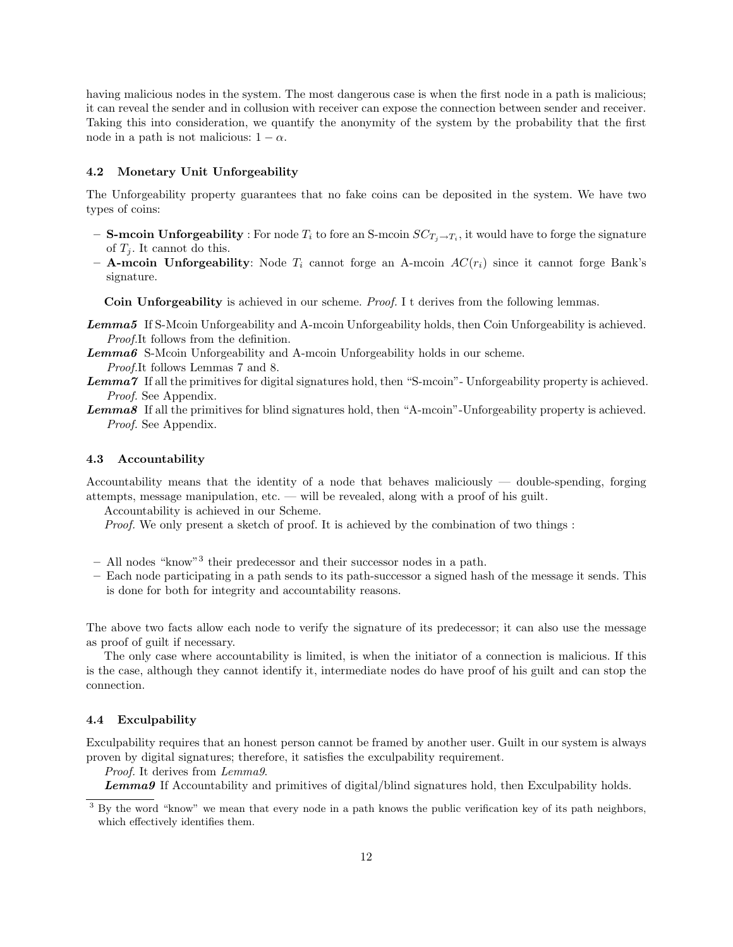having malicious nodes in the system. The most dangerous case is when the first node in a path is malicious; it can reveal the sender and in collusion with receiver can expose the connection between sender and receiver. Taking this into consideration, we quantify the anonymity of the system by the probability that the first node in a path is not malicious:  $1 - \alpha$ .

### 4.2 Monetary Unit Unforgeability

The Unforgeability property guarantees that no fake coins can be deposited in the system. We have two types of coins:

- $-$  S-mcoin Unforgeability : For node  $T_i$  to fore an S-mcoin  $SC_{T_j \to T_i}$ , it would have to forge the signature of  $T_i$ . It cannot do this.
- **A-mcoin Unforgeability**: Node  $T_i$  cannot forge an A-mcoin  $AC(r_i)$  since it cannot forge Bank's signature.

Coin Unforgeability is achieved in our scheme. *Proof.* I t derives from the following lemmas.

- Lemma5 If S-Mcoin Unforgeability and A-mcoin Unforgeability holds, then Coin Unforgeability is achieved. Proof.It follows from the definition.
- Lemma6 S-Mcoin Unforgeability and A-mcoin Unforgeability holds in our scheme. Proof.It follows Lemmas 7 and 8.
- Lemma7 If all the primitives for digital signatures hold, then "S-mcoin"- Unforgeability property is achieved. Proof. See Appendix.
- Lemma8 If all the primitives for blind signatures hold, then "A-mcoin"-Unforgeability property is achieved. Proof. See Appendix.

### 4.3 Accountability

Accountability means that the identity of a node that behaves maliciously — double-spending, forging attempts, message manipulation, etc. — will be revealed, along with a proof of his guilt.

Accountability is achieved in our Scheme.

Proof. We only present a sketch of proof. It is achieved by the combination of two things :

- All nodes "know"<sup>3</sup> their predecessor and their successor nodes in a path.
- Each node participating in a path sends to its path-successor a signed hash of the message it sends. This is done for both for integrity and accountability reasons.

The above two facts allow each node to verify the signature of its predecessor; it can also use the message as proof of guilt if necessary.

The only case where accountability is limited, is when the initiator of a connection is malicious. If this is the case, although they cannot identify it, intermediate nodes do have proof of his guilt and can stop the connection.

### 4.4 Exculpability

Exculpability requires that an honest person cannot be framed by another user. Guilt in our system is always proven by digital signatures; therefore, it satisfies the exculpability requirement.

Proof. It derives from Lemma9.

Lemma9 If Accountability and primitives of digital/blind signatures hold, then Exculpability holds.

<sup>&</sup>lt;sup>3</sup> By the word "know" we mean that every node in a path knows the public verification key of its path neighbors, which effectively identifies them.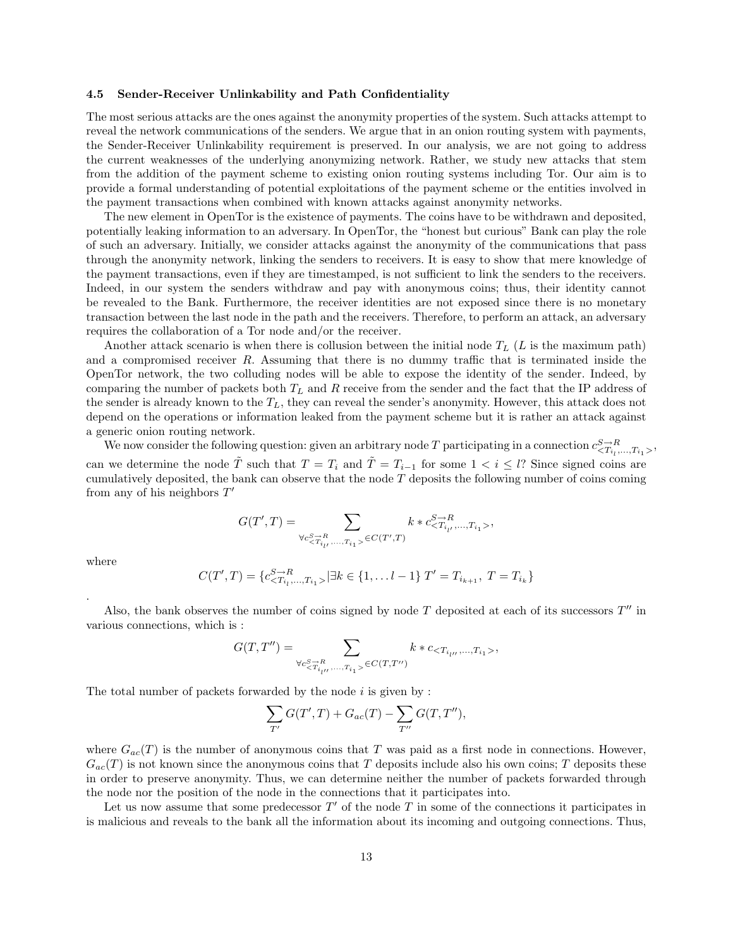#### 4.5 Sender-Receiver Unlinkability and Path Confidentiality

The most serious attacks are the ones against the anonymity properties of the system. Such attacks attempt to reveal the network communications of the senders. We argue that in an onion routing system with payments, the Sender-Receiver Unlinkability requirement is preserved. In our analysis, we are not going to address the current weaknesses of the underlying anonymizing network. Rather, we study new attacks that stem from the addition of the payment scheme to existing onion routing systems including Tor. Our aim is to provide a formal understanding of potential exploitations of the payment scheme or the entities involved in the payment transactions when combined with known attacks against anonymity networks.

The new element in OpenTor is the existence of payments. The coins have to be withdrawn and deposited, potentially leaking information to an adversary. In OpenTor, the "honest but curious" Bank can play the role of such an adversary. Initially, we consider attacks against the anonymity of the communications that pass through the anonymity network, linking the senders to receivers. It is easy to show that mere knowledge of the payment transactions, even if they are timestamped, is not sufficient to link the senders to the receivers. Indeed, in our system the senders withdraw and pay with anonymous coins; thus, their identity cannot be revealed to the Bank. Furthermore, the receiver identities are not exposed since there is no monetary transaction between the last node in the path and the receivers. Therefore, to perform an attack, an adversary requires the collaboration of a Tor node and/or the receiver.

Another attack scenario is when there is collusion between the initial node  $T_L$  (L is the maximum path) and a compromised receiver R. Assuming that there is no dummy traffic that is terminated inside the OpenTor network, the two colluding nodes will be able to expose the identity of the sender. Indeed, by comparing the number of packets both  $T_L$  and R receive from the sender and the fact that the IP address of the sender is already known to the  $T<sub>L</sub>$ , they can reveal the sender's anonymity. However, this attack does not depend on the operations or information leaked from the payment scheme but it is rather an attack against a generic onion routing network.

We now consider the following question: given an arbitrary node T participating in a connection  $c_{\leq T_{i_1},...,T_{i_1}>}^{S\to R}$ , can we determine the node  $\tilde{T}$  such that  $T = T_i$  and  $\tilde{T} = T_{i-1}$  for some  $1 < i \leq l$ ? Since signed coins are cumulatively deposited, the bank can observe that the node  $T$  deposits the following number of coins coming from any of his neighbors  $T'$ 

$$
G(T',T)=\sum_{\forall c_{ \in C(T',T)} k*c^{S\to R}_{},
$$

where

.

$$
C(T',T) = \{c_{\langle T_{i_1},...,T_{i_1}\rangle}^{\langle S\to R} | \exists k \in \{1,...l-1\} | T' = T_{i_{k+1}}, T = T_{i_k}\}\
$$

Also, the bank observes the number of coins signed by node  $T$  deposited at each of its successors  $T''$  in various connections, which is :

$$
G(T,T'')=\sum_{\forall c_{ \in C(T,T'')} k*c_{},
$$

The total number of packets forwarded by the node  $i$  is given by :

$$
\sum_{T'} G(T',T) + G_{ac}(T) - \sum_{T''} G(T,T''),
$$

where  $G_{ac}(T)$  is the number of anonymous coins that T was paid as a first node in connections. However,  $G_{ac}(T)$  is not known since the anonymous coins that T deposits include also his own coins; T deposits these in order to preserve anonymity. Thus, we can determine neither the number of packets forwarded through the node nor the position of the node in the connections that it participates into.

Let us now assume that some predecessor  $T'$  of the node  $T$  in some of the connections it participates in is malicious and reveals to the bank all the information about its incoming and outgoing connections. Thus,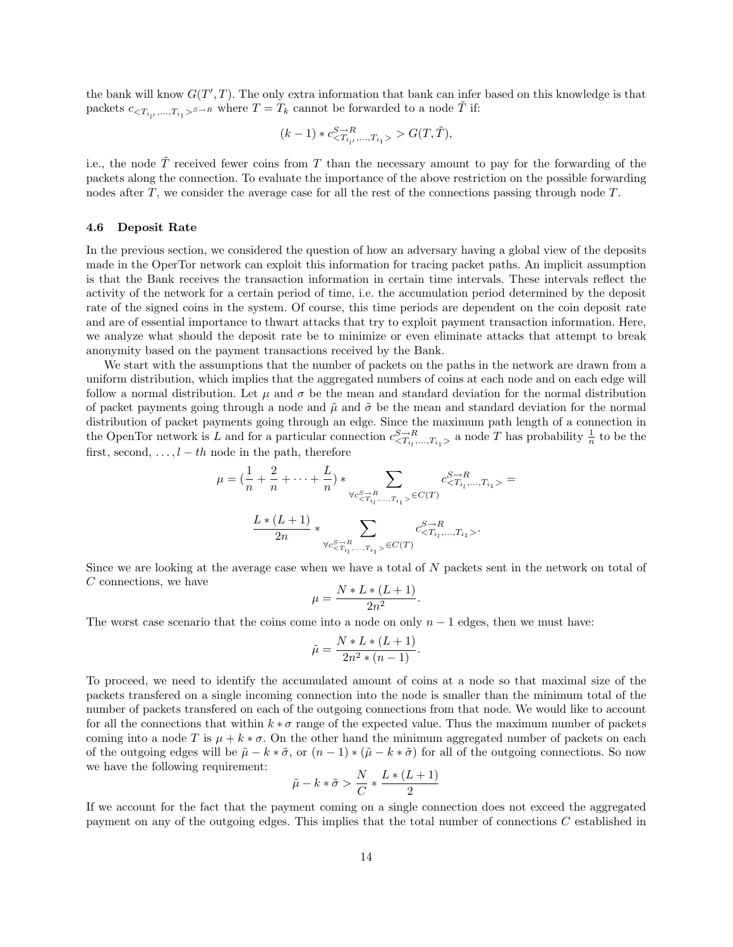the bank will know  $G(T', T)$ . The only extra information that bank can infer based on this knowledge is that packets  $c_{\langle T_{i_{l'}},...,T_{i_1}\rangle^{S\to R}}$  where  $T=\tilde{T}_k$  cannot be forwarded to a node  $\tilde{T}$  if:

$$
(k-1)*c_{}^{S\to R} > G(T,\tilde{T}),
$$

i.e., the node  $\tilde{T}$  received fewer coins from T than the necessary amount to pay for the forwarding of the packets along the connection. To evaluate the importance of the above restriction on the possible forwarding nodes after T, we consider the average case for all the rest of the connections passing through node T.

#### 4.6 Deposit Rate

In the previous section, we considered the question of how an adversary having a global view of the deposits made in the OperTor network can exploit this information for tracing packet paths. An implicit assumption is that the Bank receives the transaction information in certain time intervals. These intervals reflect the activity of the network for a certain period of time, i.e. the accumulation period determined by the deposit rate of the signed coins in the system. Of course, this time periods are dependent on the coin deposit rate and are of essential importance to thwart attacks that try to exploit payment transaction information. Here, we analyze what should the deposit rate be to minimize or even eliminate attacks that attempt to break anonymity based on the payment transactions received by the Bank.

We start with the assumptions that the number of packets on the paths in the network are drawn from a uniform distribution, which implies that the aggregated numbers of coins at each node and on each edge will follow a normal distribution. Let  $\mu$  and  $\sigma$  be the mean and standard deviation for the normal distribution of packet payments going through a node and  $\tilde{\mu}$  and  $\tilde{\sigma}$  be the mean and standard deviation for the normal distribution of packet payments going through an edge. Since the maximum path length of a connection in the OpenTor network is L and for a particular connection  $c^{S\to R}_{\langle T_{i_l},...,T_{i_1}\rangle}$  a node T has probability  $\frac{1}{n}$  to be the first, second,  $\dots$ ,  $l - th$  node in the path, therefore

$$
\mu = (\frac{1}{n} + \frac{2}{n} + \dots + \frac{L}{n}) * \sum_{\substack{\forall c \leq \frac{2}{N} \\ \forall c \leq T_{i_l}, \dots, T_{i_1} >}} c \leq C(T)
$$

$$
\frac{L * (L + 1)}{2n} * \sum_{\substack{\forall c \leq \frac{2}{N} \\ \forall c \leq T_{i_l}, \dots, T_{i_1} >}} c \leq C(T)
$$

Since we are looking at the average case when we have a total of N packets sent in the network on total of C connections, we have

$$
\mu = \frac{N * L * (L + 1)}{2n^2}.
$$

The worst case scenario that the coins come into a node on only  $n - 1$  edges, then we must have:

$$
\tilde{\mu} = \frac{N * L * (L + 1)}{2n^2 * (n - 1)}.
$$

To proceed, we need to identify the accumulated amount of coins at a node so that maximal size of the packets transfered on a single incoming connection into the node is smaller than the minimum total of the number of packets transfered on each of the outgoing connections from that node. We would like to account for all the connections that within  $k * \sigma$  range of the expected value. Thus the maximum number of packets coming into a node T is  $\mu + k * \sigma$ . On the other hand the minimum aggregated number of packets on each of the outgoing edges will be  $\tilde{\mu} - k * \tilde{\sigma}$ , or  $(n-1) * (\tilde{\mu} - k * \tilde{\sigma})$  for all of the outgoing connections. So now we have the following requirement:

$$
\tilde{\mu} - k * \tilde{\sigma} > \frac{N}{C} * \frac{L * (L+1)}{2}
$$

If we account for the fact that the payment coming on a single connection does not exceed the aggregated payment on any of the outgoing edges. This implies that the total number of connections C established in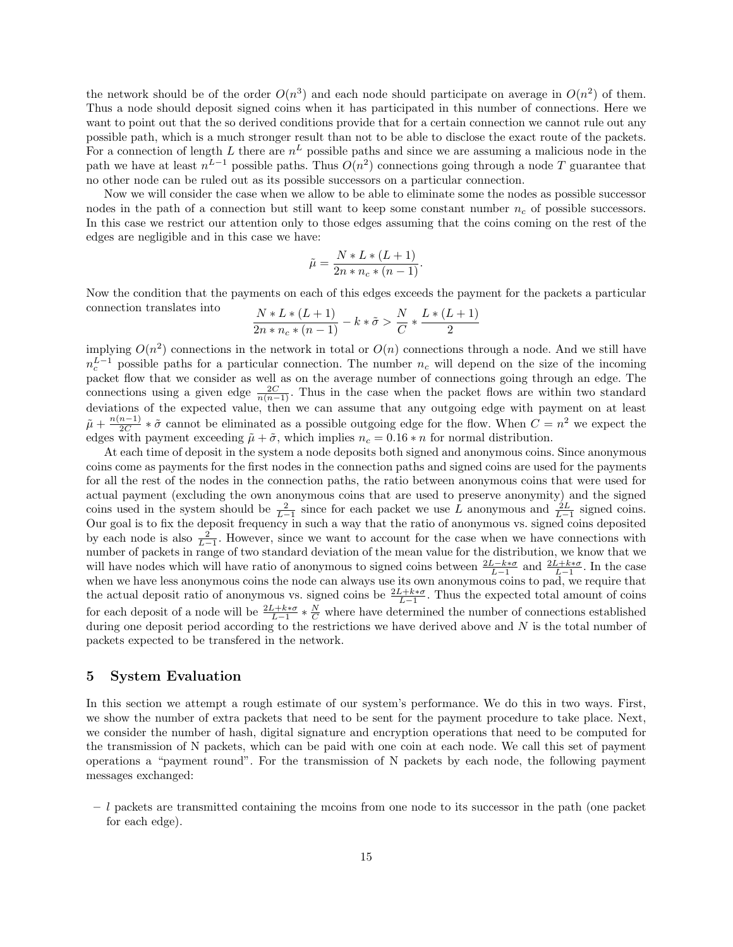the network should be of the order  $O(n^3)$  and each node should participate on average in  $O(n^2)$  of them. Thus a node should deposit signed coins when it has participated in this number of connections. Here we want to point out that the so derived conditions provide that for a certain connection we cannot rule out any possible path, which is a much stronger result than not to be able to disclose the exact route of the packets. For a connection of length L there are  $n^L$  possible paths and since we are assuming a malicious node in the path we have at least  $n^{L-1}$  possible paths. Thus  $O(n^2)$  connections going through a node T guarantee that no other node can be ruled out as its possible successors on a particular connection.

Now we will consider the case when we allow to be able to eliminate some the nodes as possible successor nodes in the path of a connection but still want to keep some constant number  $n_c$  of possible successors. In this case we restrict our attention only to those edges assuming that the coins coming on the rest of the edges are negligible and in this case we have:

$$
\tilde{\mu} = \frac{N * L * (L + 1)}{2n * n_c * (n - 1)}.
$$

Now the condition that the payments on each of this edges exceeds the payment for the packets a particular connection translates into

$$
\frac{N * L * (L + 1)}{2n * n_c * (n - 1)} - k * \tilde{\sigma} > \frac{N}{C} * \frac{L * (L + 1)}{2}
$$

implying  $O(n^2)$  connections in the network in total or  $O(n)$  connections through a node. And we still have  $n_c^{L-1}$  possible paths for a particular connection. The number  $n_c$  will depend on the size of the incoming packet flow that we consider as well as on the average number of connections going through an edge. The connections using a given edge  $\frac{2C}{n(n-1)}$ . Thus in the case when the packet flows are within two standard deviations of the expected value, then we can assume that any outgoing edge with payment on at least  $\tilde{\mu} + \frac{n(n-1)}{2C}$  $\frac{n-1}{2C} * \tilde{\sigma}$  cannot be eliminated as a possible outgoing edge for the flow. When  $C = n^2$  we expect the edges with payment exceeding  $\tilde{\mu} + \tilde{\sigma}$ , which implies  $n_c = 0.16 * n$  for normal distribution.

At each time of deposit in the system a node deposits both signed and anonymous coins. Since anonymous coins come as payments for the first nodes in the connection paths and signed coins are used for the payments for all the rest of the nodes in the connection paths, the ratio between anonymous coins that were used for actual payment (excluding the own anonymous coins that are used to preserve anonymity) and the signed coins used in the system should be  $\frac{2}{L-1}$  since for each packet we use L anonymous and  $\frac{2L}{L-1}$  signed coins. Our goal is to fix the deposit frequency in such a way that the ratio of anonymous vs. signed coins deposited by each node is also  $\frac{2}{L-1}$ . However, since we want to account for the case when we have connections with number of packets in range of two standard deviation of the mean value for the distribution, we know that we will have nodes which will have ratio of anonymous to signed coins between  $\frac{2L-k*\sigma}{L-1}$  and  $\frac{2L+k*\sigma}{L-1}$ . In the case when we have less anonymous coins the node can always use its own anonymous coins to pad, we require that the actual deposit ratio of anonymous vs. signed coins be  $\frac{2L+k*\sigma}{L-1}$ . Thus the expected total amount of coins for each deposit of a node will be  $\frac{2L+k*\sigma}{L-1}*\frac{N}{C}$  where have determined the number of connections established during one deposit period according to the restrictions we have derived above and  $N$  is the total number of packets expected to be transfered in the network.

### 5 System Evaluation

In this section we attempt a rough estimate of our system's performance. We do this in two ways. First, we show the number of extra packets that need to be sent for the payment procedure to take place. Next, we consider the number of hash, digital signature and encryption operations that need to be computed for the transmission of N packets, which can be paid with one coin at each node. We call this set of payment operations a "payment round". For the transmission of N packets by each node, the following payment messages exchanged:

 $- l$  packets are transmitted containing the mcoins from one node to its successor in the path (one packet for each edge).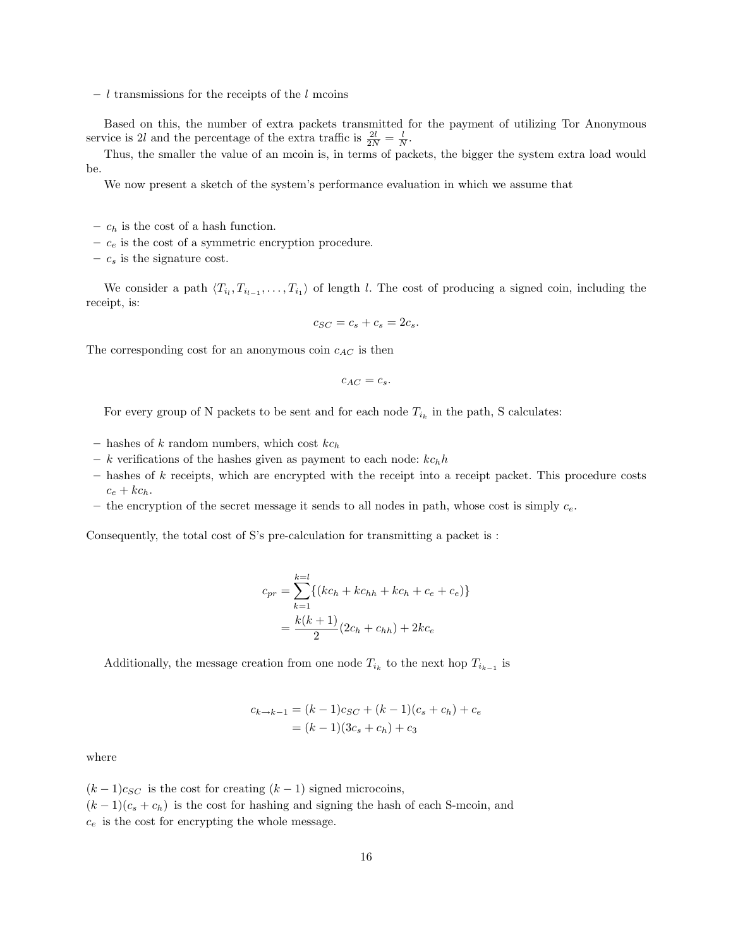$- l$  transmissions for the receipts of the l mcoins

Based on this, the number of extra packets transmitted for the payment of utilizing Tor Anonymous service is 2l and the percentage of the extra traffic is  $\frac{2l}{2N} = \frac{l}{N}$ .

Thus, the smaller the value of an mcoin is, in terms of packets, the bigger the system extra load would be.

We now present a sketch of the system's performance evaluation in which we assume that

- $c_h$  is the cost of a hash function.
- $c_e$  is the cost of a symmetric encryption procedure.
- $c_s$  is the signature cost.

We consider a path  $\langle T_{i_1}, T_{i_{l-1}}, \ldots, T_{i_1} \rangle$  of length l. The cost of producing a signed coin, including the receipt, is:

$$
c_{SC} = c_s + c_s = 2c_s.
$$

The corresponding cost for an anonymous coin  $c_{AC}$  is then

$$
c_{AC}=c_s.
$$

For every group of N packets to be sent and for each node  $T_{i_k}$  in the path, S calculates:

- hashes of k random numbers, which cost  $kc_h$
- k verifications of the hashes given as payment to each node:  $kc_hh$
- $-$  hashes of  $k$  receipts, which are encrypted with the receipt into a receipt packet. This procedure costs  $c_e + k c_h$ .
- the encryption of the secret message it sends to all nodes in path, whose cost is simply  $c_e$ .

Consequently, the total cost of S's pre-calculation for transmitting a packet is :

$$
c_{pr} = \sum_{k=1}^{k=l} \{ (kc_h + kc_{hh} + kc_h + c_e + c_e) \}
$$
  
= 
$$
\frac{k(k+1)}{2} (2c_h + c_{hh}) + 2kc_e
$$

Additionally, the message creation from one node  $T_{i_k}$  to the next hop  $T_{i_{k-1}}$  is

$$
c_{k \to k-1} = (k-1)c_{SC} + (k-1)(c_s + c_h) + c_e
$$
  
=  $(k-1)(3c_s + c_h) + c_3$ 

where

 $(k-1)c_{SC}$  is the cost for creating  $(k-1)$  signed microcoins,  $(k-1)(c_s + c_h)$  is the cost for hashing and signing the hash of each S-mcoin, and  $c_e$  is the cost for encrypting the whole message.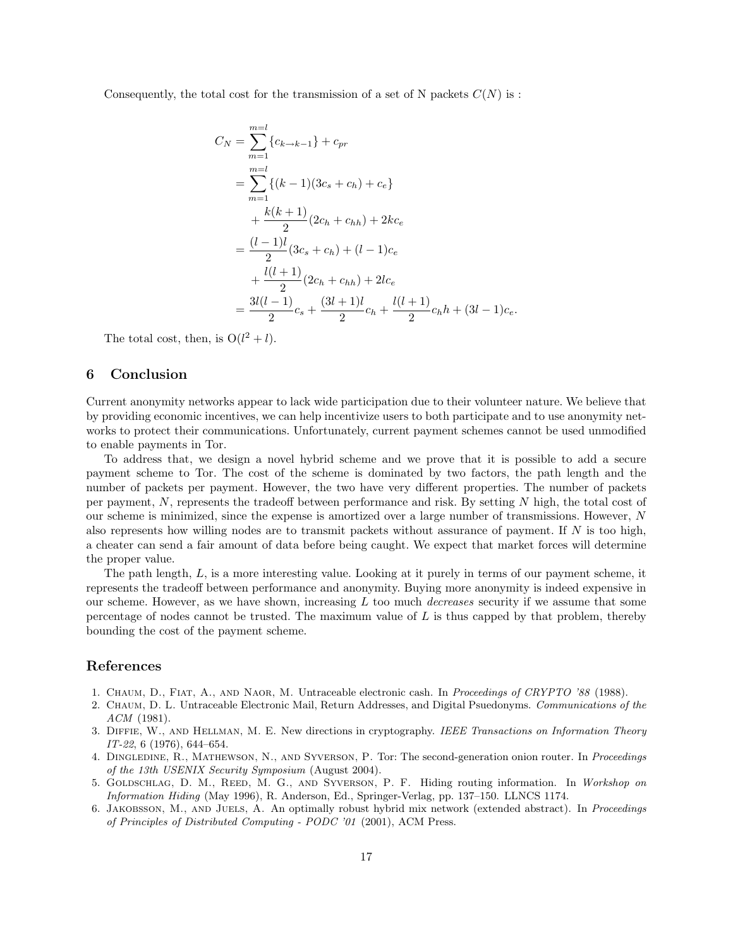Consequently, the total cost for the transmission of a set of N packets  $C(N)$  is :

$$
C_N = \sum_{m=1}^{m=l} \{c_{k\to k-1}\} + c_{pr}
$$
  
= 
$$
\sum_{m=1}^{m=l} \{(k-1)(3c_s + c_h) + c_e\}
$$
  
+ 
$$
\frac{k(k+1)}{2} (2c_h + c_{hh}) + 2kc_e
$$
  
= 
$$
\frac{(l-1)l}{2} (3c_s + c_h) + (l-1)c_e
$$
  
+ 
$$
\frac{l(l+1)}{2} (2c_h + c_{hh}) + 2lc_e
$$
  
= 
$$
\frac{3l(l-1)}{2}c_s + \frac{(3l+1)l}{2}c_h + \frac{l(l+1)}{2}c_hh + (3l-1)c_e.
$$

The total cost, then, is  $O(l^2 + l)$ .

# 6 Conclusion

Current anonymity networks appear to lack wide participation due to their volunteer nature. We believe that by providing economic incentives, we can help incentivize users to both participate and to use anonymity networks to protect their communications. Unfortunately, current payment schemes cannot be used unmodified to enable payments in Tor.

To address that, we design a novel hybrid scheme and we prove that it is possible to add a secure payment scheme to Tor. The cost of the scheme is dominated by two factors, the path length and the number of packets per payment. However, the two have very different properties. The number of packets per payment, N, represents the tradeoff between performance and risk. By setting N high, the total cost of our scheme is minimized, since the expense is amortized over a large number of transmissions. However, N also represents how willing nodes are to transmit packets without assurance of payment. If  $N$  is too high, a cheater can send a fair amount of data before being caught. We expect that market forces will determine the proper value.

The path length, L, is a more interesting value. Looking at it purely in terms of our payment scheme, it represents the tradeoff between performance and anonymity. Buying more anonymity is indeed expensive in our scheme. However, as we have shown, increasing  $L$  too much *decreases* security if we assume that some percentage of nodes cannot be trusted. The maximum value of  $L$  is thus capped by that problem, thereby bounding the cost of the payment scheme.

### References

- 1. Chaum, D., Fiat, A., and Naor, M. Untraceable electronic cash. In Proceedings of CRYPTO '88 (1988).
- 2. Chaum, D. L. Untraceable Electronic Mail, Return Addresses, and Digital Psuedonyms. Communications of the ACM (1981).
- 3. DIFFIE, W., AND HELLMAN, M. E. New directions in cryptography. IEEE Transactions on Information Theory  $IT-22, 6$  (1976), 644–654.
- 4. DINGLEDINE, R., MATHEWSON, N., AND SYVERSON, P. Tor: The second-generation onion router. In Proceedings of the 13th USENIX Security Symposium (August 2004).
- 5. Goldschlag, D. M., Reed, M. G., and Syverson, P. F. Hiding routing information. In Workshop on Information Hiding (May 1996), R. Anderson, Ed., Springer-Verlag, pp. 137–150. LLNCS 1174.
- 6. Jakobsson, M., and Juels, A. An optimally robust hybrid mix network (extended abstract). In Proceedings of Principles of Distributed Computing - PODC '01 (2001), ACM Press.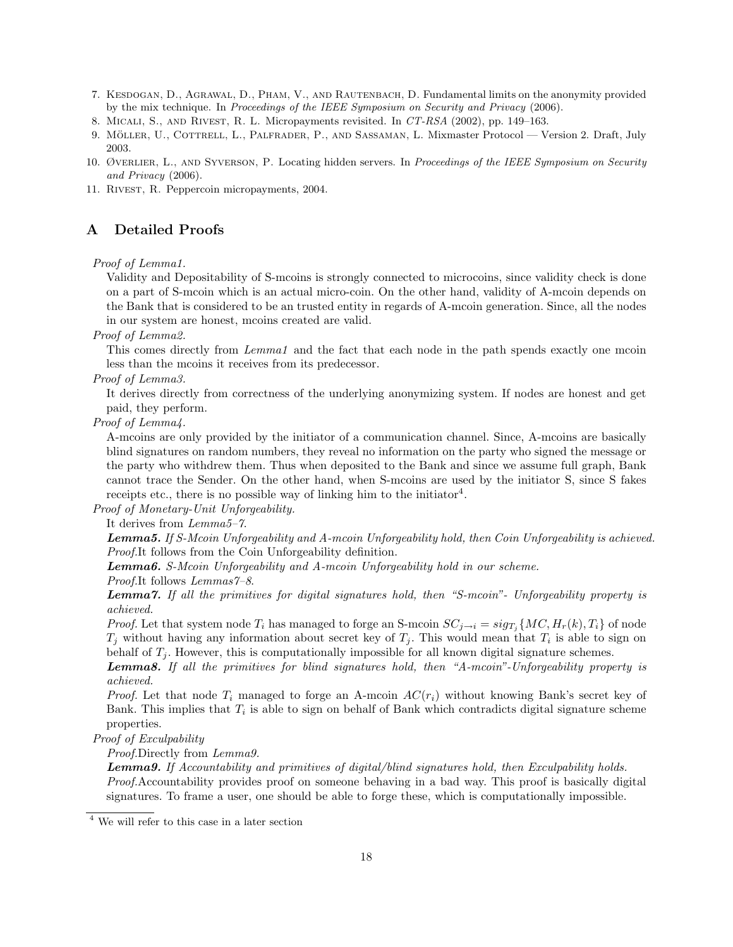- 7. Kesdogan, D., Agrawal, D., Pham, V., and Rautenbach, D. Fundamental limits on the anonymity provided by the mix technique. In Proceedings of the IEEE Symposium on Security and Privacy (2006).
- 8. Micali, S., and Rivest, R. L. Micropayments revisited. In CT-RSA (2002), pp. 149–163.
- 9. MÖLLER, U., COTTRELL, L., PALFRADER, P., AND SASSAMAN, L. Mixmaster Protocol Version 2. Draft, July 2003.
- 10. Øverlier, L., and Syverson, P. Locating hidden servers. In Proceedings of the IEEE Symposium on Security and Privacy (2006).
- 11. Rivest, R. Peppercoin micropayments, 2004.

# A Detailed Proofs

Proof of Lemma1.

Validity and Depositability of S-mcoins is strongly connected to microcoins, since validity check is done on a part of S-mcoin which is an actual micro-coin. On the other hand, validity of A-mcoin depends on the Bank that is considered to be an trusted entity in regards of A-mcoin generation. Since, all the nodes in our system are honest, mcoins created are valid.

Proof of Lemma2.

This comes directly from Lemma1 and the fact that each node in the path spends exactly one mcoin less than the mcoins it receives from its predecessor.

Proof of Lemma3.

It derives directly from correctness of the underlying anonymizing system. If nodes are honest and get paid, they perform.

Proof of Lemma<sub>4</sub>.

A-mcoins are only provided by the initiator of a communication channel. Since, A-mcoins are basically blind signatures on random numbers, they reveal no information on the party who signed the message or the party who withdrew them. Thus when deposited to the Bank and since we assume full graph, Bank cannot trace the Sender. On the other hand, when S-mcoins are used by the initiator S, since S fakes receipts etc., there is no possible way of linking him to the initiator<sup>4</sup>.

Proof of Monetary-Unit Unforgeability.

It derives from Lemma5–7.

Lemma5. If S-Mcoin Unforgeability and A-mcoin Unforgeability hold, then Coin Unforgeability is achieved. Proof.It follows from the Coin Unforgeability definition.

Lemma6. S-Mcoin Unforgeability and A-mcoin Unforgeability hold in our scheme.

Proof.It follows Lemmas7–8.

Lemma7. If all the primitives for digital signatures hold, then "S-mcoin"- Unforgeability property is achieved.

*Proof.* Let that system node  $T_i$  has managed to forge an S-mcoin  $SC_{j\rightarrow i} = sig_{T_j} \{MC, H_r(k), T_i\}$  of node  $T_j$  without having any information about secret key of  $T_j$ . This would mean that  $T_i$  is able to sign on behalf of  $T_i$ . However, this is computationally impossible for all known digital signature schemes.

Lemma8. If all the primitives for blind signatures hold, then "A-mcoin"-Unforgeability property is achieved.

*Proof.* Let that node  $T_i$  managed to forge an A-mcoin  $AC(r_i)$  without knowing Bank's secret key of Bank. This implies that  $T_i$  is able to sign on behalf of Bank which contradicts digital signature scheme properties.

Proof of Exculpability

Proof.Directly from Lemma9.

Lemma9. If Accountability and primitives of digital/blind signatures hold, then Exculpability holds. Proof.Accountability provides proof on someone behaving in a bad way. This proof is basically digital signatures. To frame a user, one should be able to forge these, which is computationally impossible.

<sup>4</sup> We will refer to this case in a later section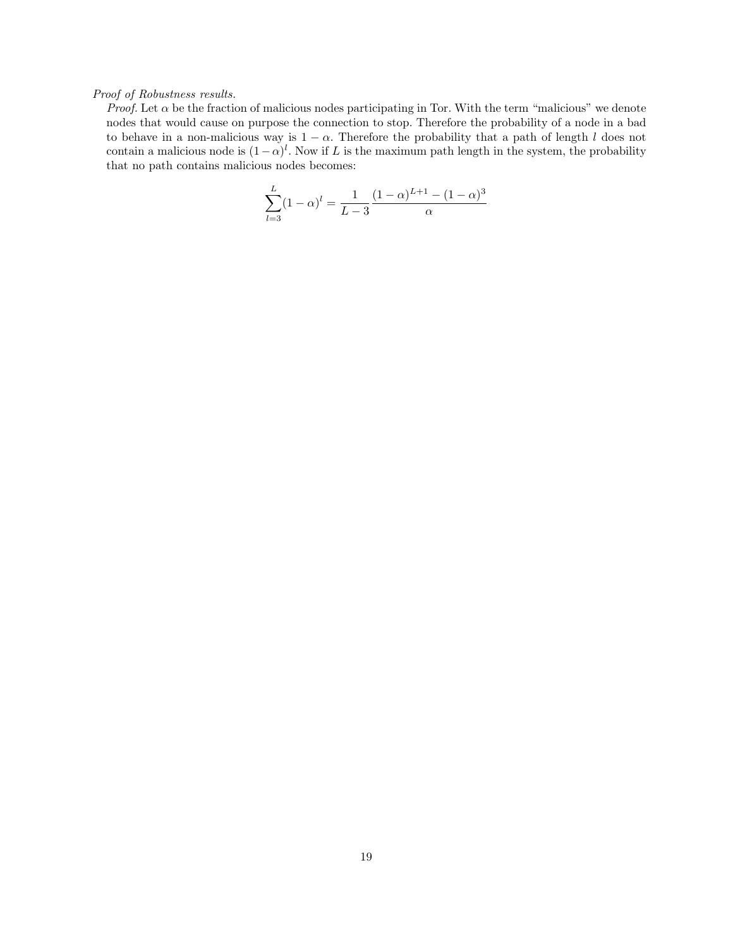### Proof of Robustness results.

*Proof.* Let  $\alpha$  be the fraction of malicious nodes participating in Tor. With the term "malicious" we denote nodes that would cause on purpose the connection to stop. Therefore the probability of a node in a bad to behave in a non-malicious way is  $1 - \alpha$ . Therefore the probability that a path of length l does not contain a malicious node is  $(1-\alpha)^l$ . Now if L is the maximum path length in the system, the probability that no path contains malicious nodes becomes:

$$
\sum_{l=3}^{L} (1 - \alpha)^l = \frac{1}{L-3} \frac{(1 - \alpha)^{L+1} - (1 - \alpha)^3}{\alpha}
$$